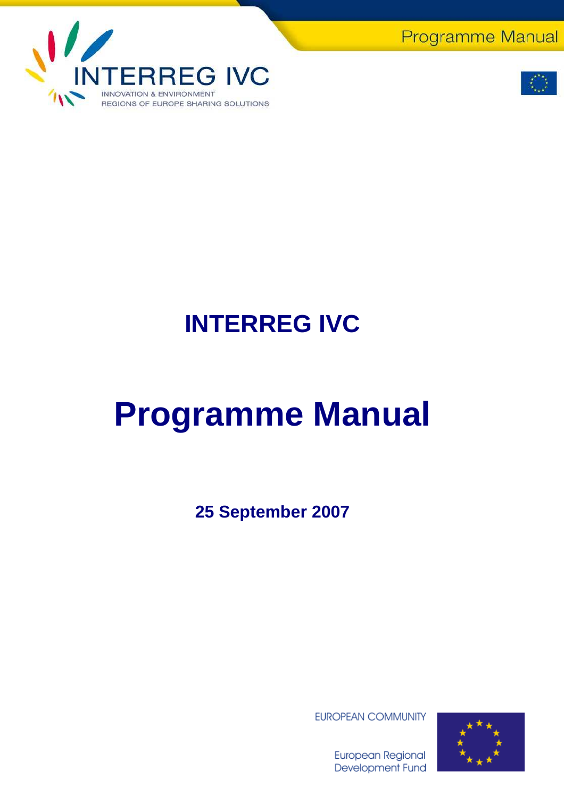**Programme Manual** 





## **INTERREG IVC**

# **Programme Manual**

**25 September 2007** 

**EUROPEAN COMMUNITY** 



**European Regional** Development Fund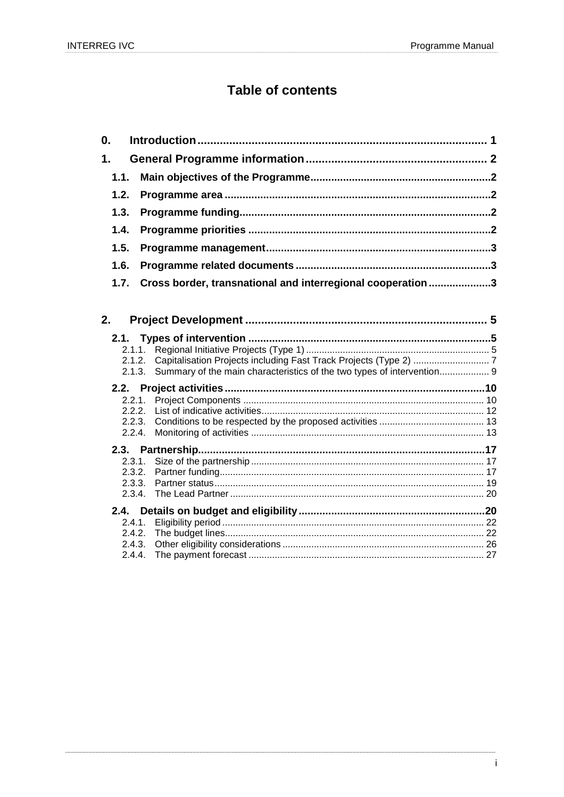## **Table of contents**

| 0.            |                  |                                                                        |  |
|---------------|------------------|------------------------------------------------------------------------|--|
| $\mathbf 1$ . |                  |                                                                        |  |
| 1.1.          |                  |                                                                        |  |
| 1.2.          |                  |                                                                        |  |
| 1.3.          |                  |                                                                        |  |
| 1.4.          |                  |                                                                        |  |
| 1.5.          |                  |                                                                        |  |
| 1.6.          |                  |                                                                        |  |
| 1.7.          |                  | Cross border, transnational and interregional cooperation 3            |  |
|               |                  |                                                                        |  |
| 2.            |                  |                                                                        |  |
| 2.1.          |                  |                                                                        |  |
|               | 2.1.1.           |                                                                        |  |
|               | 2.1.2.<br>2.1.3. | Summary of the main characteristics of the two types of intervention 9 |  |
|               |                  |                                                                        |  |
|               | 2.2.1.           |                                                                        |  |
|               | 2.2.2.           |                                                                        |  |
|               | 2.2.3.           |                                                                        |  |
|               | 2.2.4.           |                                                                        |  |
|               |                  |                                                                        |  |
|               | 2.3.1.           |                                                                        |  |
|               | 2.3.2.<br>2.3.3. |                                                                        |  |
|               | 2.3.4.           |                                                                        |  |
|               |                  |                                                                        |  |
|               | 2.4.1.           |                                                                        |  |
|               | 2.4.2.           |                                                                        |  |
|               | 2.4.3.           |                                                                        |  |
|               | 2.4.4.           |                                                                        |  |
|               |                  |                                                                        |  |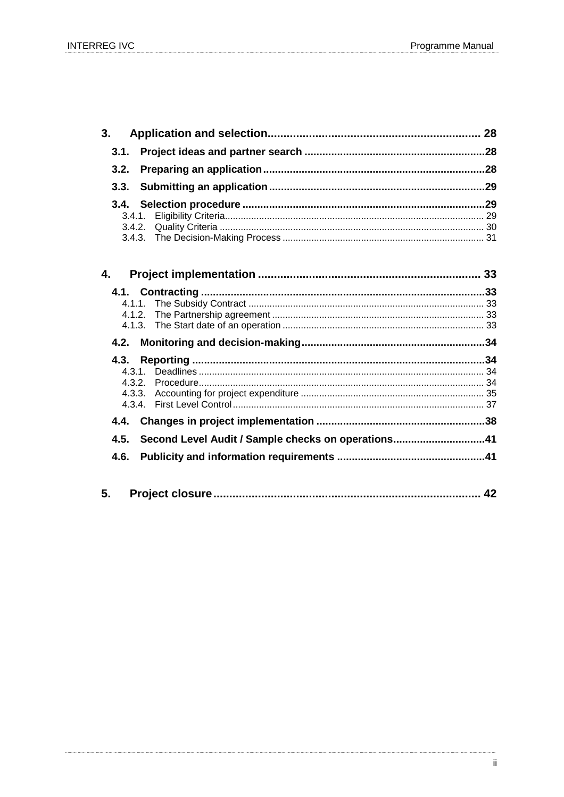| 4. |  |
|----|--|
|    |  |
|    |  |
|    |  |
|    |  |
|    |  |

|      | 4.5. Second Level Audit / Sample checks on operations41 |  |
|------|---------------------------------------------------------|--|
| 4.6. |                                                         |  |
|      |                                                         |  |
|      |                                                         |  |

| 5. |  |  |  |
|----|--|--|--|
|----|--|--|--|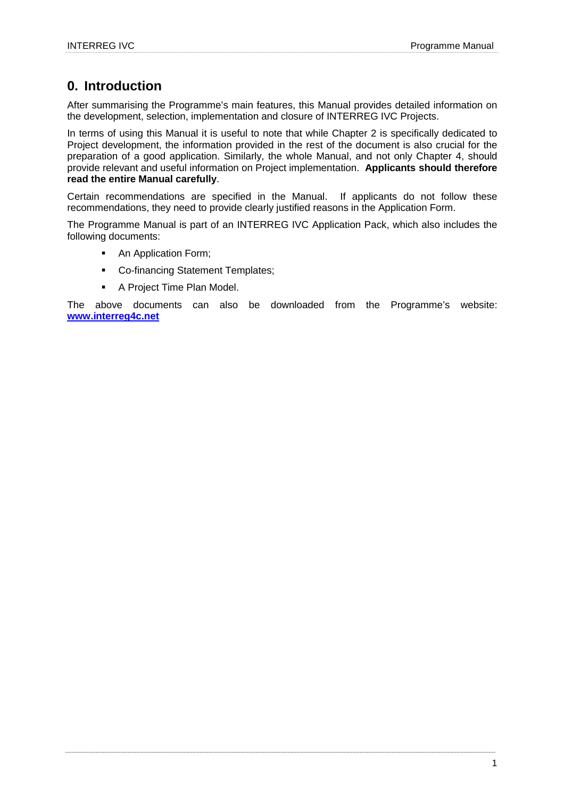## **0. Introduction**

After summarising the Programme's main features, this Manual provides detailed information on the development, selection, implementation and closure of INTERREG IVC Projects.

In terms of using this Manual it is useful to note that while Chapter 2 is specifically dedicated to Project development, the information provided in the rest of the document is also crucial for the preparation of a good application. Similarly, the whole Manual, and not only Chapter 4, should provide relevant and useful information on Project implementation. **Applicants should therefore read the entire Manual carefully**.

Certain recommendations are specified in the Manual. If applicants do not follow these recommendations, they need to provide clearly justified reasons in the Application Form.

The Programme Manual is part of an INTERREG IVC Application Pack, which also includes the following documents:

- An Application Form;
- **Co-financing Statement Templates;**
- A Project Time Plan Model.

The above documents can also be downloaded from the Programme's website: **www.interreg4c.net**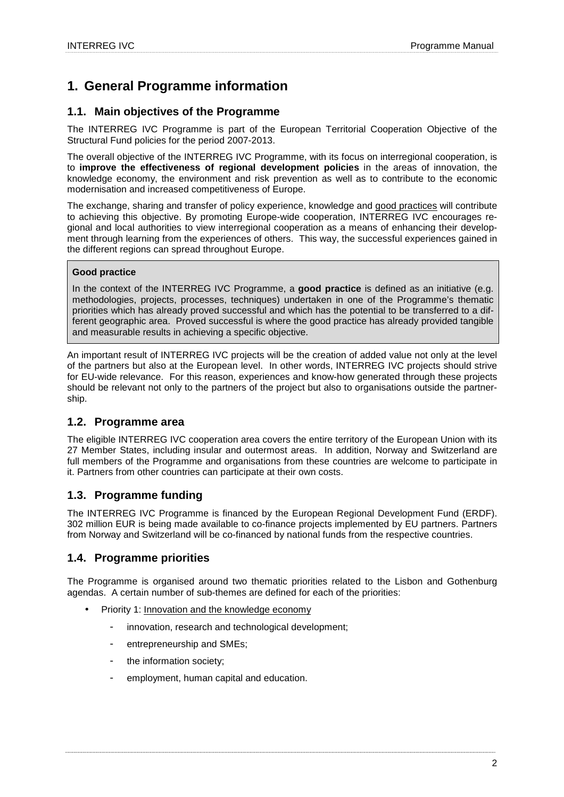## **1. General Programme information**

## **1.1. Main objectives of the Programme**

The INTERREG IVC Programme is part of the European Territorial Cooperation Objective of the Structural Fund policies for the period 2007-2013.

The overall objective of the INTERREG IVC Programme, with its focus on interregional cooperation, is to **improve the effectiveness of regional development policies** in the areas of innovation, the knowledge economy, the environment and risk prevention as well as to contribute to the economic modernisation and increased competitiveness of Europe.

The exchange, sharing and transfer of policy experience, knowledge and good practices will contribute to achieving this objective. By promoting Europe-wide cooperation, INTERREG IVC encourages regional and local authorities to view interregional cooperation as a means of enhancing their development through learning from the experiences of others. This way, the successful experiences gained in the different regions can spread throughout Europe.

## **Good practice**

In the context of the INTERREG IVC Programme, a **good practice** is defined as an initiative (e.g. methodologies, projects, processes, techniques) undertaken in one of the Programme's thematic priorities which has already proved successful and which has the potential to be transferred to a different geographic area. Proved successful is where the good practice has already provided tangible and measurable results in achieving a specific objective.

An important result of INTERREG IVC projects will be the creation of added value not only at the level of the partners but also at the European level. In other words, INTERREG IVC projects should strive for EU-wide relevance. For this reason, experiences and know-how generated through these projects should be relevant not only to the partners of the project but also to organisations outside the partnership.

## **1.2. Programme area**

The eligible INTERREG IVC cooperation area covers the entire territory of the European Union with its 27 Member States, including insular and outermost areas. In addition, Norway and Switzerland are full members of the Programme and organisations from these countries are welcome to participate in it. Partners from other countries can participate at their own costs.

## **1.3. Programme funding**

The INTERREG IVC Programme is financed by the European Regional Development Fund (ERDF). 302 million EUR is being made available to co-finance projects implemented by EU partners. Partners from Norway and Switzerland will be co-financed by national funds from the respective countries.

## **1.4. Programme priorities**

The Programme is organised around two thematic priorities related to the Lisbon and Gothenburg agendas. A certain number of sub-themes are defined for each of the priorities:

- Priority 1: Innovation and the knowledge economy
	- innovation, research and technological development;
	- entrepreneurship and SMEs;
	- the information society:
	- employment, human capital and education.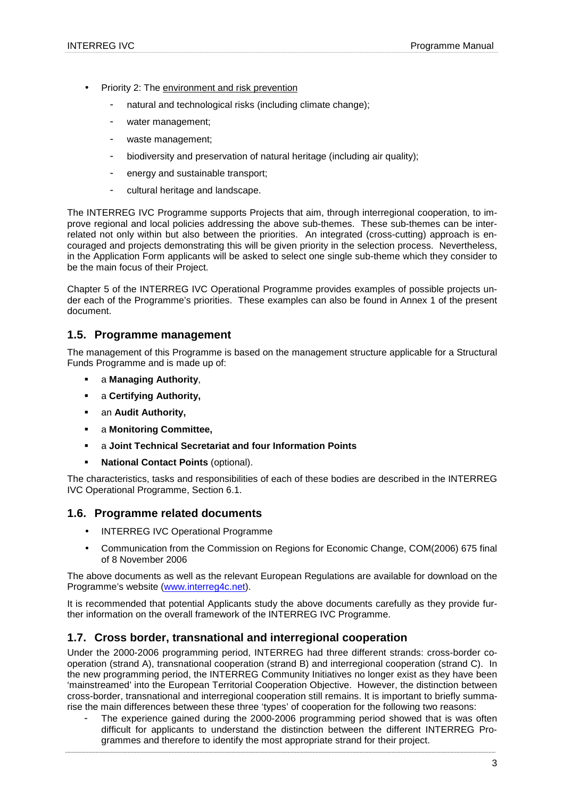- Priority 2: The environment and risk prevention
	- natural and technological risks (including climate change);
	- water management;
	- waste management;
	- biodiversity and preservation of natural heritage (including air quality);
	- energy and sustainable transport;
	- cultural heritage and landscape.

The INTERREG IVC Programme supports Projects that aim, through interregional cooperation, to improve regional and local policies addressing the above sub-themes. These sub-themes can be interrelated not only within but also between the priorities. An integrated (cross-cutting) approach is encouraged and projects demonstrating this will be given priority in the selection process. Nevertheless, in the Application Form applicants will be asked to select one single sub-theme which they consider to be the main focus of their Project.

Chapter 5 of the INTERREG IVC Operational Programme provides examples of possible projects under each of the Programme's priorities. These examples can also be found in Annex 1 of the present document.

## **1.5. Programme management**

The management of this Programme is based on the management structure applicable for a Structural Funds Programme and is made up of:

- a **Managing Authority**,
- a **Certifying Authority,**
- an **Audit Authority,**
- a **Monitoring Committee,**
- a **Joint Technical Secretariat and four Information Points**
- **National Contact Points (optional).**

The characteristics, tasks and responsibilities of each of these bodies are described in the INTERREG IVC Operational Programme, Section 6.1.

## **1.6. Programme related documents**

- INTERREG IVC Operational Programme
- Communication from the Commission on Regions for Economic Change, COM(2006) 675 final of 8 November 2006

The above documents as well as the relevant European Regulations are available for download on the Programme's website (www.interreg4c.net).

It is recommended that potential Applicants study the above documents carefully as they provide further information on the overall framework of the INTERREG IVC Programme.

## **1.7. Cross border, transnational and interregional cooperation**

Under the 2000-2006 programming period, INTERREG had three different strands: cross-border cooperation (strand A), transnational cooperation (strand B) and interregional cooperation (strand C). In the new programming period, the INTERREG Community Initiatives no longer exist as they have been 'mainstreamed' into the European Territorial Cooperation Objective. However, the distinction between cross-border, transnational and interregional cooperation still remains. It is important to briefly summarise the main differences between these three 'types' of cooperation for the following two reasons:

The experience gained during the 2000-2006 programming period showed that is was often difficult for applicants to understand the distinction between the different INTERREG Programmes and therefore to identify the most appropriate strand for their project.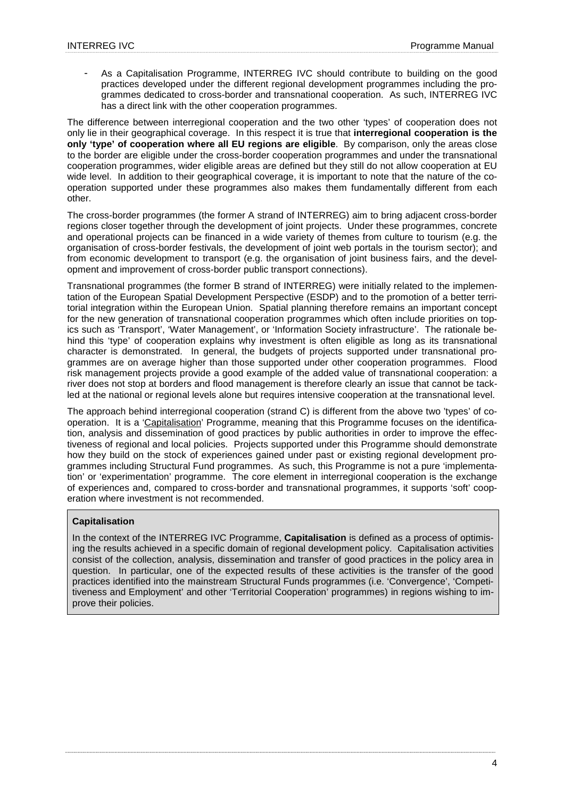As a Capitalisation Programme, INTERREG IVC should contribute to building on the good practices developed under the different regional development programmes including the programmes dedicated to cross-border and transnational cooperation. As such, INTERREG IVC has a direct link with the other cooperation programmes.

The difference between interregional cooperation and the two other 'types' of cooperation does not only lie in their geographical coverage. In this respect it is true that **interregional cooperation is the only 'type' of cooperation where all EU regions are eligible**. By comparison, only the areas close to the border are eligible under the cross-border cooperation programmes and under the transnational cooperation programmes, wider eligible areas are defined but they still do not allow cooperation at EU wide level. In addition to their geographical coverage, it is important to note that the nature of the cooperation supported under these programmes also makes them fundamentally different from each other.

The cross-border programmes (the former A strand of INTERREG) aim to bring adjacent cross-border regions closer together through the development of joint projects. Under these programmes, concrete and operational projects can be financed in a wide variety of themes from culture to tourism (e.g. the organisation of cross-border festivals, the development of joint web portals in the tourism sector); and from economic development to transport (e.g. the organisation of joint business fairs, and the development and improvement of cross-border public transport connections).

Transnational programmes (the former B strand of INTERREG) were initially related to the implementation of the European Spatial Development Perspective (ESDP) and to the promotion of a better territorial integration within the European Union. Spatial planning therefore remains an important concept for the new generation of transnational cooperation programmes which often include priorities on topics such as 'Transport', 'Water Management', or 'Information Society infrastructure'. The rationale behind this 'type' of cooperation explains why investment is often eligible as long as its transnational character is demonstrated. In general, the budgets of projects supported under transnational programmes are on average higher than those supported under other cooperation programmes. Flood risk management projects provide a good example of the added value of transnational cooperation: a river does not stop at borders and flood management is therefore clearly an issue that cannot be tackled at the national or regional levels alone but requires intensive cooperation at the transnational level.

The approach behind interregional cooperation (strand C) is different from the above two 'types' of cooperation. It is a 'Capitalisation' Programme, meaning that this Programme focuses on the identification, analysis and dissemination of good practices by public authorities in order to improve the effectiveness of regional and local policies. Projects supported under this Programme should demonstrate how they build on the stock of experiences gained under past or existing regional development programmes including Structural Fund programmes. As such, this Programme is not a pure 'implementation' or 'experimentation' programme. The core element in interregional cooperation is the exchange of experiences and, compared to cross-border and transnational programmes, it supports 'soft' cooperation where investment is not recommended.

## **Capitalisation**

In the context of the INTERREG IVC Programme, **Capitalisation** is defined as a process of optimising the results achieved in a specific domain of regional development policy. Capitalisation activities consist of the collection, analysis, dissemination and transfer of good practices in the policy area in question. In particular, one of the expected results of these activities is the transfer of the good practices identified into the mainstream Structural Funds programmes (i.e. 'Convergence', 'Competitiveness and Employment' and other 'Territorial Cooperation' programmes) in regions wishing to improve their policies.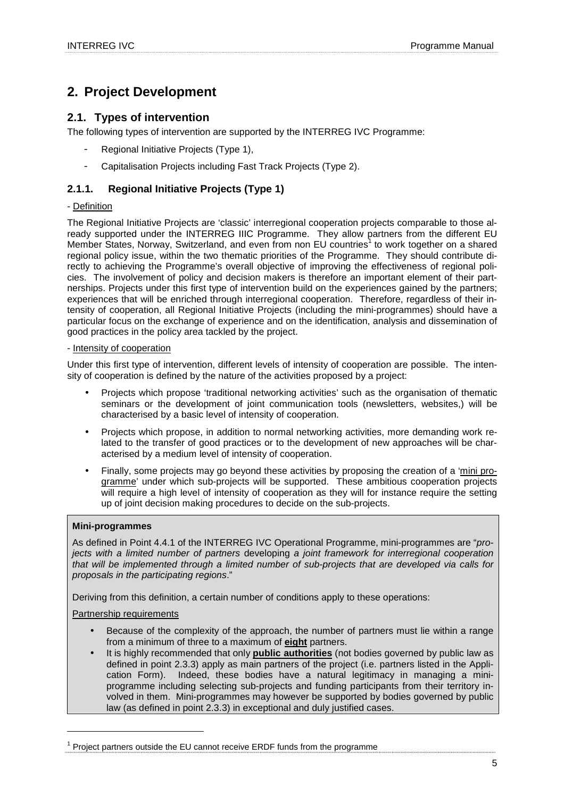## **2. Project Development**

## **2.1. Types of intervention**

The following types of intervention are supported by the INTERREG IVC Programme:

- Regional Initiative Projects (Type 1),
- Capitalisation Projects including Fast Track Projects (Type 2).

## **2.1.1. Regional Initiative Projects (Type 1)**

## - Definition

The Regional Initiative Projects are 'classic' interregional cooperation projects comparable to those already supported under the INTERREG IIIC Programme. They allow partners from the different EU Member States, Norway, Switzerland, and even from non EU countries<sup>1</sup> to work together on a shared regional policy issue, within the two thematic priorities of the Programme. They should contribute directly to achieving the Programme's overall objective of improving the effectiveness of regional policies. The involvement of policy and decision makers is therefore an important element of their partnerships. Projects under this first type of intervention build on the experiences gained by the partners; experiences that will be enriched through interregional cooperation. Therefore, regardless of their intensity of cooperation, all Regional Initiative Projects (including the mini-programmes) should have a particular focus on the exchange of experience and on the identification, analysis and dissemination of good practices in the policy area tackled by the project.

#### - Intensity of cooperation

Under this first type of intervention, different levels of intensity of cooperation are possible. The intensity of cooperation is defined by the nature of the activities proposed by a project:

- Projects which propose 'traditional networking activities' such as the organisation of thematic seminars or the development of joint communication tools (newsletters, websites,) will be characterised by a basic level of intensity of cooperation.
- Projects which propose, in addition to normal networking activities, more demanding work related to the transfer of good practices or to the development of new approaches will be characterised by a medium level of intensity of cooperation.
- Finally, some projects may go beyond these activities by proposing the creation of a 'mini programme' under which sub-projects will be supported. These ambitious cooperation projects will require a high level of intensity of cooperation as they will for instance require the setting up of joint decision making procedures to decide on the sub-projects.

## **Mini-programmes**

As defined in Point 4.4.1 of the INTERREG IVC Operational Programme, mini-programmes are "projects with a limited number of partners developing a joint framework for interregional cooperation that will be implemented through a limited number of sub-projects that are developed via calls for proposals in the participating regions."

Deriving from this definition, a certain number of conditions apply to these operations:

Partnership requirements

 $\overline{a}$ 

- Because of the complexity of the approach, the number of partners must lie within a range from a minimum of three to a maximum of **eight** partners.
- It is highly recommended that only **public authorities** (not bodies governed by public law as defined in point 2.3.3) apply as main partners of the project (i.e. partners listed in the Application Form). Indeed, these bodies have a natural legitimacy in managing a miniprogramme including selecting sub-projects and funding participants from their territory involved in them. Mini-programmes may however be supported by bodies governed by public law (as defined in point 2.3.3) in exceptional and duly justified cases.

 $1$  Project partners outside the EU cannot receive ERDF funds from the programme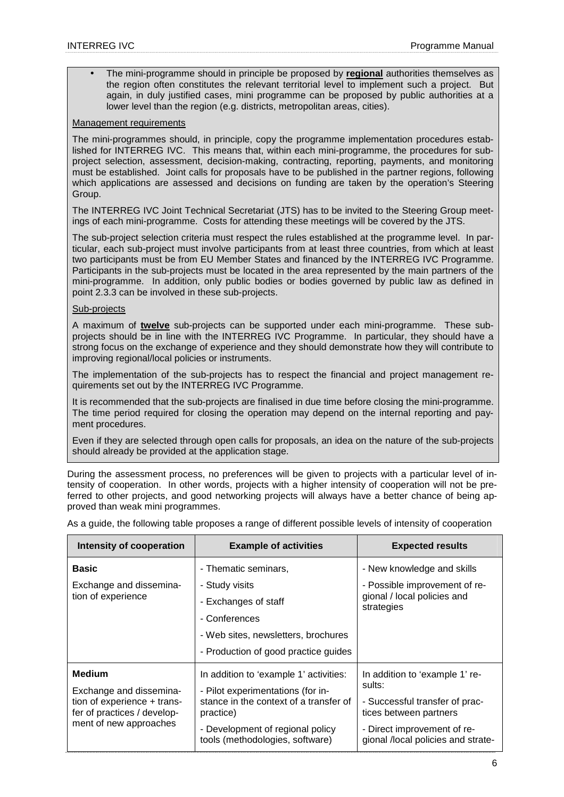• The mini-programme should in principle be proposed by **regional** authorities themselves as the region often constitutes the relevant territorial level to implement such a project. But again, in duly justified cases, mini programme can be proposed by public authorities at a lower level than the region (e.g. districts, metropolitan areas, cities).

## Management requirements

The mini-programmes should, in principle, copy the programme implementation procedures established for INTERREG IVC. This means that, within each mini-programme, the procedures for subproject selection, assessment, decision-making, contracting, reporting, payments, and monitoring must be established. Joint calls for proposals have to be published in the partner regions, following which applications are assessed and decisions on funding are taken by the operation's Steering Group.

The INTERREG IVC Joint Technical Secretariat (JTS) has to be invited to the Steering Group meetings of each mini-programme. Costs for attending these meetings will be covered by the JTS.

The sub-project selection criteria must respect the rules established at the programme level. In particular, each sub-project must involve participants from at least three countries, from which at least two participants must be from EU Member States and financed by the INTERREG IVC Programme. Participants in the sub-projects must be located in the area represented by the main partners of the mini-programme. In addition, only public bodies or bodies governed by public law as defined in point 2.3.3 can be involved in these sub-projects.

#### Sub-projects

A maximum of **twelve** sub-projects can be supported under each mini-programme. These subprojects should be in line with the INTERREG IVC Programme. In particular, they should have a strong focus on the exchange of experience and they should demonstrate how they will contribute to improving regional/local policies or instruments.

The implementation of the sub-projects has to respect the financial and project management requirements set out by the INTERREG IVC Programme.

It is recommended that the sub-projects are finalised in due time before closing the mini-programme. The time period required for closing the operation may depend on the internal reporting and payment procedures.

Even if they are selected through open calls for proposals, an idea on the nature of the sub-projects should already be provided at the application stage.

During the assessment process, no preferences will be given to projects with a particular level of intensity of cooperation. In other words, projects with a higher intensity of cooperation will not be preferred to other projects, and good networking projects will always have a better chance of being approved than weak mini programmes.

| Intensity of cooperation                                   | <b>Example of activities</b>                                        | <b>Expected results</b>                                           |  |
|------------------------------------------------------------|---------------------------------------------------------------------|-------------------------------------------------------------------|--|
| <b>Basic</b>                                               | - Thematic seminars,                                                | - New knowledge and skills                                        |  |
| Exchange and dissemina-                                    | - Study visits                                                      | - Possible improvement of re-                                     |  |
| tion of experience                                         | - Exchanges of staff                                                | gional / local policies and<br>strategies                         |  |
|                                                            | - Conferences                                                       |                                                                   |  |
|                                                            | - Web sites, newsletters, brochures                                 |                                                                   |  |
|                                                            | - Production of good practice guides                                |                                                                   |  |
| <b>Medium</b>                                              | In addition to 'example 1' activities:                              | In addition to 'example 1' re-                                    |  |
| Exchange and dissemina-                                    | - Pilot experimentations (for in-                                   | sults:                                                            |  |
| tion of experience + trans-<br>fer of practices / develop- | stance in the context of a transfer of<br>practice)                 | - Successful transfer of prac-<br>tices between partners          |  |
| ment of new approaches                                     | - Development of regional policy<br>tools (methodologies, software) | - Direct improvement of re-<br>gional /local policies and strate- |  |

As a guide, the following table proposes a range of different possible levels of intensity of cooperation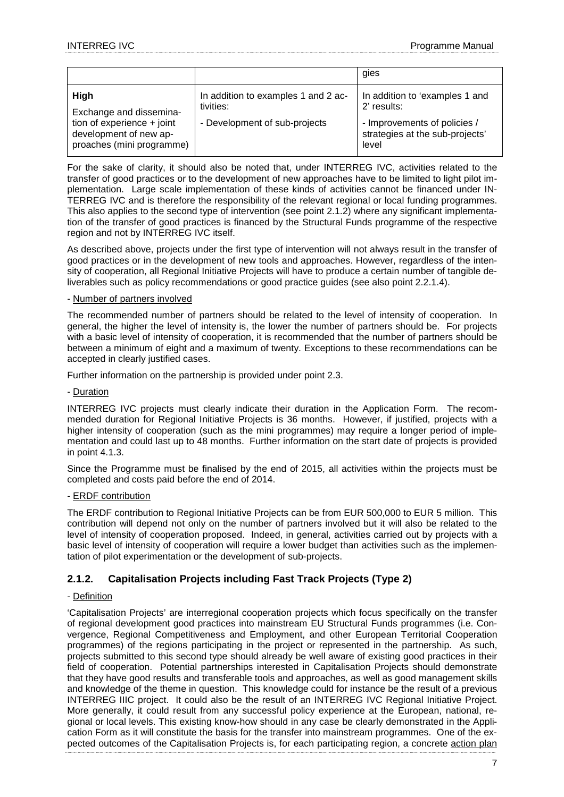|                                                                                                                        |                                                                                   | gies                                                                                                                      |
|------------------------------------------------------------------------------------------------------------------------|-----------------------------------------------------------------------------------|---------------------------------------------------------------------------------------------------------------------------|
| High<br>Exchange and dissemina-<br>tion of experience $+$ joint<br>development of new ap-<br>proaches (mini programme) | In addition to examples 1 and 2 ac-<br>tivities:<br>- Development of sub-projects | In addition to 'examples 1 and<br>2' results:<br>- Improvements of policies /<br>strategies at the sub-projects'<br>level |

For the sake of clarity, it should also be noted that, under INTERREG IVC, activities related to the transfer of good practices or to the development of new approaches have to be limited to light pilot implementation. Large scale implementation of these kinds of activities cannot be financed under IN-TERREG IVC and is therefore the responsibility of the relevant regional or local funding programmes. This also applies to the second type of intervention (see point 2.1.2) where any significant implementation of the transfer of good practices is financed by the Structural Funds programme of the respective region and not by INTERREG IVC itself.

As described above, projects under the first type of intervention will not always result in the transfer of good practices or in the development of new tools and approaches. However, regardless of the intensity of cooperation, all Regional Initiative Projects will have to produce a certain number of tangible deliverables such as policy recommendations or good practice guides (see also point 2.2.1.4).

#### - Number of partners involved

The recommended number of partners should be related to the level of intensity of cooperation. In general, the higher the level of intensity is, the lower the number of partners should be. For projects with a basic level of intensity of cooperation, it is recommended that the number of partners should be between a minimum of eight and a maximum of twenty. Exceptions to these recommendations can be accepted in clearly justified cases.

Further information on the partnership is provided under point 2.3.

#### - Duration

INTERREG IVC projects must clearly indicate their duration in the Application Form. The recommended duration for Regional Initiative Projects is 36 months. However, if justified, projects with a higher intensity of cooperation (such as the mini programmes) may require a longer period of implementation and could last up to 48 months. Further information on the start date of projects is provided in point 4.1.3.

Since the Programme must be finalised by the end of 2015, all activities within the projects must be completed and costs paid before the end of 2014.

#### - ERDF contribution

The ERDF contribution to Regional Initiative Projects can be from EUR 500,000 to EUR 5 million. This contribution will depend not only on the number of partners involved but it will also be related to the level of intensity of cooperation proposed. Indeed, in general, activities carried out by projects with a basic level of intensity of cooperation will require a lower budget than activities such as the implementation of pilot experimentation or the development of sub-projects.

## **2.1.2. Capitalisation Projects including Fast Track Projects (Type 2)**

#### - Definition

'Capitalisation Projects' are interregional cooperation projects which focus specifically on the transfer of regional development good practices into mainstream EU Structural Funds programmes (i.e. Convergence, Regional Competitiveness and Employment, and other European Territorial Cooperation programmes) of the regions participating in the project or represented in the partnership. As such, projects submitted to this second type should already be well aware of existing good practices in their field of cooperation. Potential partnerships interested in Capitalisation Projects should demonstrate that they have good results and transferable tools and approaches, as well as good management skills and knowledge of the theme in question. This knowledge could for instance be the result of a previous INTERREG IIIC project. It could also be the result of an INTERREG IVC Regional Initiative Project. More generally, it could result from any successful policy experience at the European, national, regional or local levels. This existing know-how should in any case be clearly demonstrated in the Application Form as it will constitute the basis for the transfer into mainstream programmes. One of the expected outcomes of the Capitalisation Projects is, for each participating region, a concrete action plan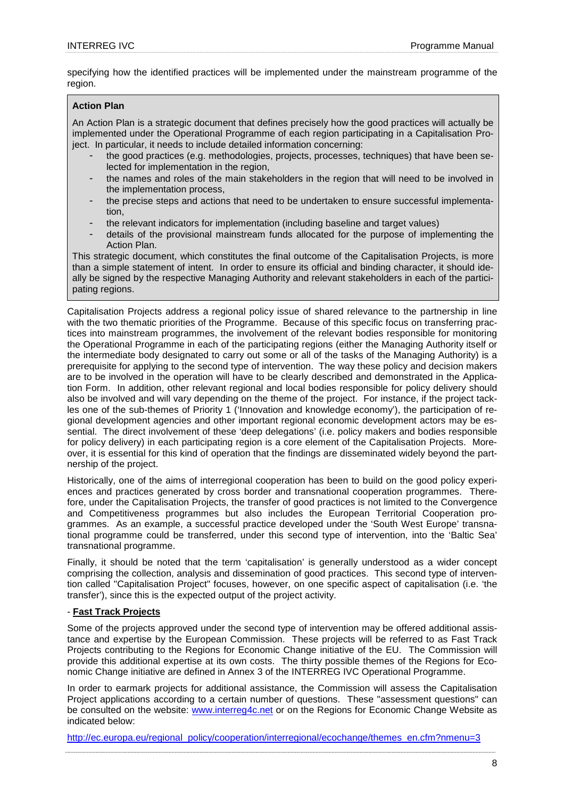specifying how the identified practices will be implemented under the mainstream programme of the region.

#### **Action Plan**

An Action Plan is a strategic document that defines precisely how the good practices will actually be implemented under the Operational Programme of each region participating in a Capitalisation Project. In particular, it needs to include detailed information concerning:

- the good practices (e.g. methodologies, projects, processes, techniques) that have been selected for implementation in the region,
- the names and roles of the main stakeholders in the region that will need to be involved in the implementation process,
- the precise steps and actions that need to be undertaken to ensure successful implementation,
- the relevant indicators for implementation (including baseline and target values)
- details of the provisional mainstream funds allocated for the purpose of implementing the Action Plan.

This strategic document, which constitutes the final outcome of the Capitalisation Projects, is more than a simple statement of intent. In order to ensure its official and binding character, it should ideally be signed by the respective Managing Authority and relevant stakeholders in each of the participating regions.

Capitalisation Projects address a regional policy issue of shared relevance to the partnership in line with the two thematic priorities of the Programme. Because of this specific focus on transferring practices into mainstream programmes, the involvement of the relevant bodies responsible for monitoring the Operational Programme in each of the participating regions (either the Managing Authority itself or the intermediate body designated to carry out some or all of the tasks of the Managing Authority) is a prerequisite for applying to the second type of intervention. The way these policy and decision makers are to be involved in the operation will have to be clearly described and demonstrated in the Application Form. In addition, other relevant regional and local bodies responsible for policy delivery should also be involved and will vary depending on the theme of the project. For instance, if the project tackles one of the sub-themes of Priority 1 ('Innovation and knowledge economy'), the participation of regional development agencies and other important regional economic development actors may be essential. The direct involvement of these 'deep delegations' (i.e. policy makers and bodies responsible for policy delivery) in each participating region is a core element of the Capitalisation Projects. Moreover, it is essential for this kind of operation that the findings are disseminated widely beyond the partnership of the project.

Historically, one of the aims of interregional cooperation has been to build on the good policy experiences and practices generated by cross border and transnational cooperation programmes. Therefore, under the Capitalisation Projects, the transfer of good practices is not limited to the Convergence and Competitiveness programmes but also includes the European Territorial Cooperation programmes. As an example, a successful practice developed under the 'South West Europe' transnational programme could be transferred, under this second type of intervention, into the 'Baltic Sea' transnational programme.

Finally, it should be noted that the term 'capitalisation' is generally understood as a wider concept comprising the collection, analysis and dissemination of good practices. This second type of intervention called "Capitalisation Project" focuses, however, on one specific aspect of capitalisation (i.e. 'the transfer'), since this is the expected output of the project activity.

#### - **Fast Track Projects**

Some of the projects approved under the second type of intervention may be offered additional assistance and expertise by the European Commission. These projects will be referred to as Fast Track Projects contributing to the Regions for Economic Change initiative of the EU. The Commission will provide this additional expertise at its own costs. The thirty possible themes of the Regions for Economic Change initiative are defined in Annex 3 of the INTERREG IVC Operational Programme.

In order to earmark projects for additional assistance, the Commission will assess the Capitalisation Project applications according to a certain number of questions. These "assessment questions" can be consulted on the website: www.interreg4c.net or on the Regions for Economic Change Website as indicated below:

http://ec.europa.eu/regional\_policy/cooperation/interregional/ecochange/themes\_en.cfm?nmenu=3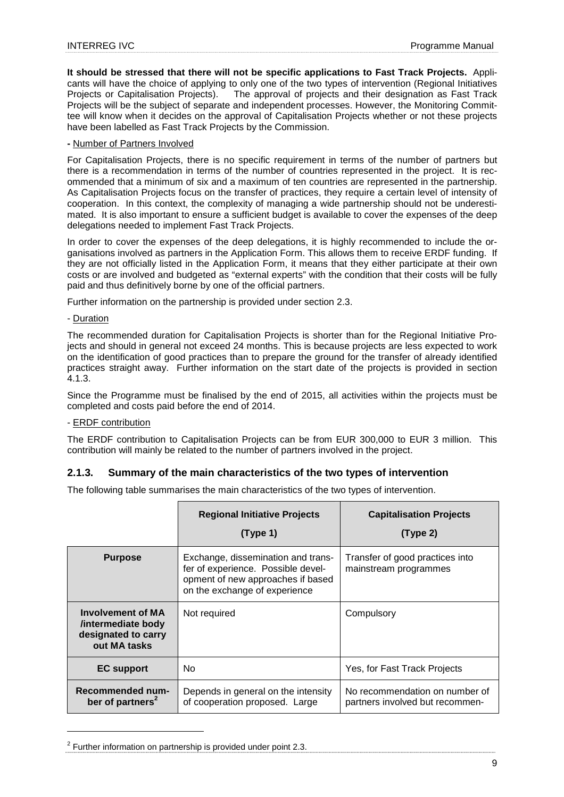**It should be stressed that there will not be specific applications to Fast Track Projects.** Applicants will have the choice of applying to only one of the two types of intervention (Regional Initiatives Projects or Capitalisation Projects). The approval of projects and their designation as Fast Track Projects will be the subject of separate and independent processes. However, the Monitoring Committee will know when it decides on the approval of Capitalisation Projects whether or not these projects have been labelled as Fast Track Projects by the Commission.

## **-** Number of Partners Involved

For Capitalisation Projects, there is no specific requirement in terms of the number of partners but there is a recommendation in terms of the number of countries represented in the project. It is recommended that a minimum of six and a maximum of ten countries are represented in the partnership. As Capitalisation Projects focus on the transfer of practices, they require a certain level of intensity of cooperation. In this context, the complexity of managing a wide partnership should not be underestimated. It is also important to ensure a sufficient budget is available to cover the expenses of the deep delegations needed to implement Fast Track Projects.

In order to cover the expenses of the deep delegations, it is highly recommended to include the organisations involved as partners in the Application Form. This allows them to receive ERDF funding. If they are not officially listed in the Application Form, it means that they either participate at their own costs or are involved and budgeted as "external experts" with the condition that their costs will be fully paid and thus definitively borne by one of the official partners.

Further information on the partnership is provided under section 2.3.

#### - Duration

 $\overline{a}$ 

The recommended duration for Capitalisation Projects is shorter than for the Regional Initiative Projects and should in general not exceed 24 months. This is because projects are less expected to work on the identification of good practices than to prepare the ground for the transfer of already identified practices straight away. Further information on the start date of the projects is provided in section 4.1.3.

Since the Programme must be finalised by the end of 2015, all activities within the projects must be completed and costs paid before the end of 2014.

#### - ERDF contribution

The ERDF contribution to Capitalisation Projects can be from EUR 300,000 to EUR 3 million. This contribution will mainly be related to the number of partners involved in the project.

## **2.1.3. Summary of the main characteristics of the two types of intervention**

The following table summarises the main characteristics of the two types of intervention.

|                                                                                       | <b>Regional Initiative Projects</b><br>(Type 1)                                                                                                | <b>Capitalisation Projects</b><br>(Type 2)                        |
|---------------------------------------------------------------------------------------|------------------------------------------------------------------------------------------------------------------------------------------------|-------------------------------------------------------------------|
| <b>Purpose</b>                                                                        | Exchange, dissemination and trans-<br>fer of experience. Possible devel-<br>opment of new approaches if based<br>on the exchange of experience | Transfer of good practices into<br>mainstream programmes          |
| <b>Involvement of MA</b><br>/intermediate body<br>designated to carry<br>out MA tasks | Not required                                                                                                                                   | Compulsory                                                        |
| <b>EC</b> support                                                                     | N <sub>0</sub>                                                                                                                                 | Yes, for Fast Track Projects                                      |
| Recommended num-<br>ber of partners <sup>2</sup>                                      | Depends in general on the intensity<br>of cooperation proposed. Large                                                                          | No recommendation on number of<br>partners involved but recommen- |

 $2$  Further information on partnership is provided under point 2.3.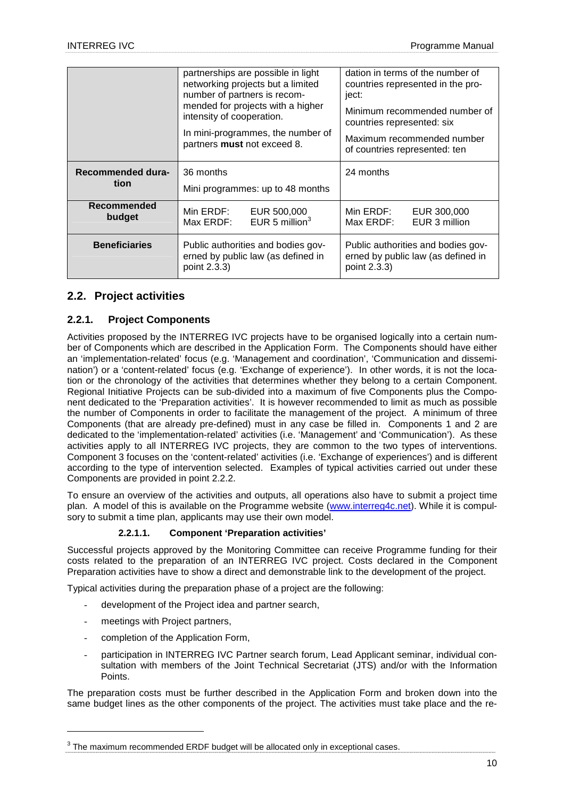|                              | partnerships are possible in light<br>networking projects but a limited<br>number of partners is recom-<br>mended for projects with a higher<br>intensity of cooperation.<br>In mini-programmes, the number of<br>partners must not exceed 8. | dation in terms of the number of<br>countries represented in the pro-<br>ject:<br>Minimum recommended number of<br>countries represented: six<br>Maximum recommended number<br>of countries represented: ten |
|------------------------------|-----------------------------------------------------------------------------------------------------------------------------------------------------------------------------------------------------------------------------------------------|--------------------------------------------------------------------------------------------------------------------------------------------------------------------------------------------------------------|
| Recommended dura-<br>tion    | 36 months<br>Mini programmes: up to 48 months                                                                                                                                                                                                 | 24 months                                                                                                                                                                                                    |
| <b>Recommended</b><br>budget | Min ERDF: EUR 500,000<br>Max ERDF: EUR 5 million <sup>3</sup>                                                                                                                                                                                 | Min ERDF:<br>EUR 300,000<br>EUR 3 million<br>Max ERDF:                                                                                                                                                       |
| <b>Beneficiaries</b>         | Public authorities and bodies gov-<br>erned by public law (as defined in<br>point 2.3.3)                                                                                                                                                      | Public authorities and bodies gov-<br>erned by public law (as defined in<br>point 2.3.3)                                                                                                                     |

## **2.2. Project activities**

## **2.2.1. Project Components**

Activities proposed by the INTERREG IVC projects have to be organised logically into a certain number of Components which are described in the Application Form. The Components should have either an 'implementation-related' focus (e.g. 'Management and coordination', 'Communication and dissemination') or a 'content-related' focus (e.g. 'Exchange of experience'). In other words, it is not the location or the chronology of the activities that determines whether they belong to a certain Component. Regional Initiative Projects can be sub-divided into a maximum of five Components plus the Component dedicated to the 'Preparation activities'. It is however recommended to limit as much as possible the number of Components in order to facilitate the management of the project. A minimum of three Components (that are already pre-defined) must in any case be filled in. Components 1 and 2 are dedicated to the 'implementation-related' activities (i.e. 'Management' and 'Communication'). As these activities apply to all INTERREG IVC projects, they are common to the two types of interventions. Component 3 focuses on the 'content-related' activities (i.e. 'Exchange of experiences') and is different according to the type of intervention selected. Examples of typical activities carried out under these Components are provided in point 2.2.2.

To ensure an overview of the activities and outputs, all operations also have to submit a project time plan. A model of this is available on the Programme website (www.interreg4c.net). While it is compulsory to submit a time plan, applicants may use their own model.

## **2.2.1.1. Component 'Preparation activities'**

Successful projects approved by the Monitoring Committee can receive Programme funding for their costs related to the preparation of an INTERREG IVC project. Costs declared in the Component Preparation activities have to show a direct and demonstrable link to the development of the project.

Typical activities during the preparation phase of a project are the following:

- development of the Project idea and partner search,
- meetings with Project partners.

 $\overline{a}$ 

- completion of the Application Form,
- participation in INTERREG IVC Partner search forum, Lead Applicant seminar, individual consultation with members of the Joint Technical Secretariat (JTS) and/or with the Information Points.

The preparation costs must be further described in the Application Form and broken down into the same budget lines as the other components of the project. The activities must take place and the re-

 $3$  The maximum recommended ERDF budget will be allocated only in exceptional cases.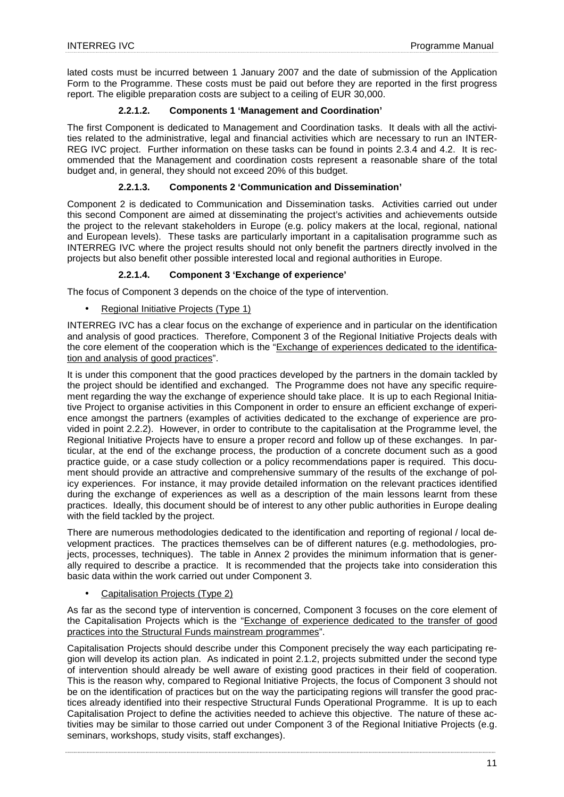lated costs must be incurred between 1 January 2007 and the date of submission of the Application Form to the Programme. These costs must be paid out before they are reported in the first progress report. The eligible preparation costs are subject to a ceiling of EUR 30,000.

## **2.2.1.2. Components 1 'Management and Coordination'**

The first Component is dedicated to Management and Coordination tasks. It deals with all the activities related to the administrative, legal and financial activities which are necessary to run an INTER-REG IVC project. Further information on these tasks can be found in points 2.3.4 and 4.2. It is recommended that the Management and coordination costs represent a reasonable share of the total budget and, in general, they should not exceed 20% of this budget.

## **2.2.1.3. Components 2 'Communication and Dissemination'**

Component 2 is dedicated to Communication and Dissemination tasks. Activities carried out under this second Component are aimed at disseminating the project's activities and achievements outside the project to the relevant stakeholders in Europe (e.g. policy makers at the local, regional, national and European levels). These tasks are particularly important in a capitalisation programme such as INTERREG IVC where the project results should not only benefit the partners directly involved in the projects but also benefit other possible interested local and regional authorities in Europe.

## **2.2.1.4. Component 3 'Exchange of experience'**

The focus of Component 3 depends on the choice of the type of intervention.

• Regional Initiative Projects (Type 1)

INTERREG IVC has a clear focus on the exchange of experience and in particular on the identification and analysis of good practices. Therefore, Component 3 of the Regional Initiative Projects deals with the core element of the cooperation which is the "Exchange of experiences dedicated to the identification and analysis of good practices".

It is under this component that the good practices developed by the partners in the domain tackled by the project should be identified and exchanged. The Programme does not have any specific requirement regarding the way the exchange of experience should take place. It is up to each Regional Initiative Project to organise activities in this Component in order to ensure an efficient exchange of experience amongst the partners (examples of activities dedicated to the exchange of experience are provided in point 2.2.2). However, in order to contribute to the capitalisation at the Programme level, the Regional Initiative Projects have to ensure a proper record and follow up of these exchanges. In particular, at the end of the exchange process, the production of a concrete document such as a good practice guide, or a case study collection or a policy recommendations paper is required. This document should provide an attractive and comprehensive summary of the results of the exchange of policy experiences. For instance, it may provide detailed information on the relevant practices identified during the exchange of experiences as well as a description of the main lessons learnt from these practices. Ideally, this document should be of interest to any other public authorities in Europe dealing with the field tackled by the project.

There are numerous methodologies dedicated to the identification and reporting of regional / local development practices. The practices themselves can be of different natures (e.g. methodologies, projects, processes, techniques). The table in Annex 2 provides the minimum information that is generally required to describe a practice. It is recommended that the projects take into consideration this basic data within the work carried out under Component 3.

## • Capitalisation Projects (Type 2)

As far as the second type of intervention is concerned, Component 3 focuses on the core element of the Capitalisation Projects which is the "Exchange of experience dedicated to the transfer of good practices into the Structural Funds mainstream programmes".

Capitalisation Projects should describe under this Component precisely the way each participating region will develop its action plan. As indicated in point 2.1.2, projects submitted under the second type of intervention should already be well aware of existing good practices in their field of cooperation. This is the reason why, compared to Regional Initiative Projects, the focus of Component 3 should not be on the identification of practices but on the way the participating regions will transfer the good practices already identified into their respective Structural Funds Operational Programme. It is up to each Capitalisation Project to define the activities needed to achieve this objective. The nature of these activities may be similar to those carried out under Component 3 of the Regional Initiative Projects (e.g. seminars, workshops, study visits, staff exchanges).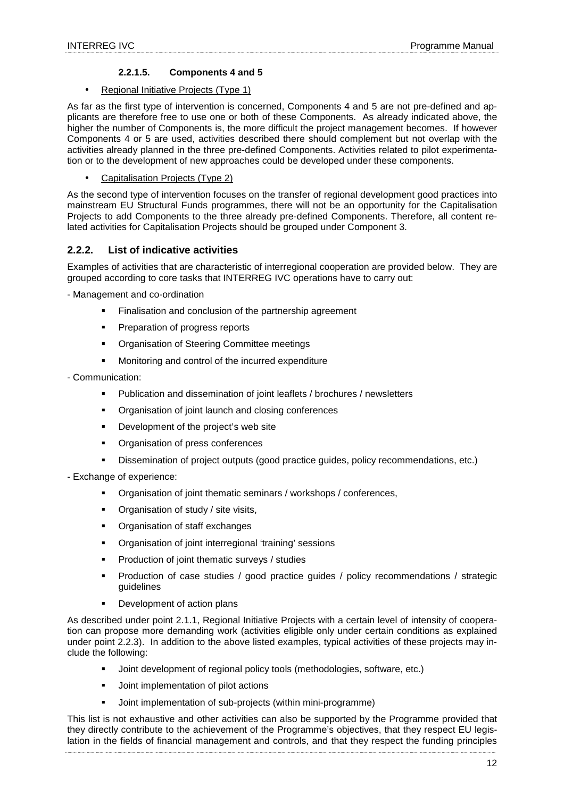## **2.2.1.5. Components 4 and 5**

## • Regional Initiative Projects (Type 1)

As far as the first type of intervention is concerned, Components 4 and 5 are not pre-defined and applicants are therefore free to use one or both of these Components. As already indicated above, the higher the number of Components is, the more difficult the project management becomes. If however Components 4 or 5 are used, activities described there should complement but not overlap with the activities already planned in the three pre-defined Components. Activities related to pilot experimentation or to the development of new approaches could be developed under these components.

• Capitalisation Projects (Type 2)

As the second type of intervention focuses on the transfer of regional development good practices into mainstream EU Structural Funds programmes, there will not be an opportunity for the Capitalisation Projects to add Components to the three already pre-defined Components. Therefore, all content related activities for Capitalisation Projects should be grouped under Component 3.

## **2.2.2. List of indicative activities**

Examples of activities that are characteristic of interregional cooperation are provided below. They are grouped according to core tasks that INTERREG IVC operations have to carry out:

- Management and co-ordination

- Finalisation and conclusion of the partnership agreement
- **Preparation of progress reports**
- **Organisation of Steering Committee meetings**
- Monitoring and control of the incurred expenditure

- Communication:

- Publication and dissemination of joint leaflets / brochures / newsletters
- **•** Organisation of joint launch and closing conferences
- **Development of the project's web site**
- **•** Organisation of press conferences
- Dissemination of project outputs (good practice guides, policy recommendations, etc.)

- Exchange of experience:

- Organisation of joint thematic seminars / workshops / conferences,
- Organisation of study / site visits,
- **•** Organisation of staff exchanges
- **•** Organisation of joint interregional 'training' sessions
- **Production of joint thematic surveys / studies**
- Production of case studies / good practice guides / policy recommendations / strategic guidelines
- Development of action plans

As described under point 2.1.1, Regional Initiative Projects with a certain level of intensity of cooperation can propose more demanding work (activities eligible only under certain conditions as explained under point 2.2.3). In addition to the above listed examples, typical activities of these projects may include the following:

- Joint development of regional policy tools (methodologies, software, etc.)
- Joint implementation of pilot actions
- Joint implementation of sub-projects (within mini-programme)

This list is not exhaustive and other activities can also be supported by the Programme provided that they directly contribute to the achievement of the Programme's objectives, that they respect EU legislation in the fields of financial management and controls, and that they respect the funding principles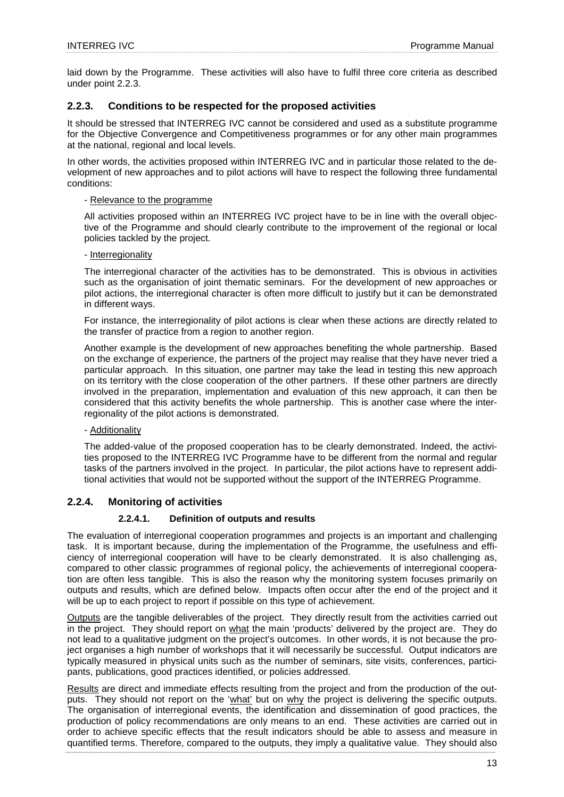laid down by the Programme. These activities will also have to fulfil three core criteria as described under point 2.2.3.

## **2.2.3. Conditions to be respected for the proposed activities**

It should be stressed that INTERREG IVC cannot be considered and used as a substitute programme for the Objective Convergence and Competitiveness programmes or for any other main programmes at the national, regional and local levels.

In other words, the activities proposed within INTERREG IVC and in particular those related to the development of new approaches and to pilot actions will have to respect the following three fundamental conditions:

#### - Relevance to the programme

All activities proposed within an INTERREG IVC project have to be in line with the overall objective of the Programme and should clearly contribute to the improvement of the regional or local policies tackled by the project.

## - Interregionality

The interregional character of the activities has to be demonstrated. This is obvious in activities such as the organisation of joint thematic seminars. For the development of new approaches or pilot actions, the interregional character is often more difficult to justify but it can be demonstrated in different ways.

For instance, the interregionality of pilot actions is clear when these actions are directly related to the transfer of practice from a region to another region.

Another example is the development of new approaches benefiting the whole partnership. Based on the exchange of experience, the partners of the project may realise that they have never tried a particular approach. In this situation, one partner may take the lead in testing this new approach on its territory with the close cooperation of the other partners. If these other partners are directly involved in the preparation, implementation and evaluation of this new approach, it can then be considered that this activity benefits the whole partnership. This is another case where the interregionality of the pilot actions is demonstrated.

## - Additionality

The added-value of the proposed cooperation has to be clearly demonstrated. Indeed, the activities proposed to the INTERREG IVC Programme have to be different from the normal and regular tasks of the partners involved in the project. In particular, the pilot actions have to represent additional activities that would not be supported without the support of the INTERREG Programme.

## **2.2.4. Monitoring of activities**

## **2.2.4.1. Definition of outputs and results**

The evaluation of interregional cooperation programmes and projects is an important and challenging task. It is important because, during the implementation of the Programme, the usefulness and efficiency of interregional cooperation will have to be clearly demonstrated. It is also challenging as, compared to other classic programmes of regional policy, the achievements of interregional cooperation are often less tangible. This is also the reason why the monitoring system focuses primarily on outputs and results, which are defined below. Impacts often occur after the end of the project and it will be up to each project to report if possible on this type of achievement.

Outputs are the tangible deliverables of the project. They directly result from the activities carried out in the project. They should report on what the main 'products' delivered by the project are. They do not lead to a qualitative judgment on the project's outcomes. In other words, it is not because the project organises a high number of workshops that it will necessarily be successful. Output indicators are typically measured in physical units such as the number of seminars, site visits, conferences, participants, publications, good practices identified, or policies addressed.

Results are direct and immediate effects resulting from the project and from the production of the outputs. They should not report on the 'what' but on why the project is delivering the specific outputs. The organisation of interregional events, the identification and dissemination of good practices, the production of policy recommendations are only means to an end. These activities are carried out in order to achieve specific effects that the result indicators should be able to assess and measure in quantified terms. Therefore, compared to the outputs, they imply a qualitative value. They should also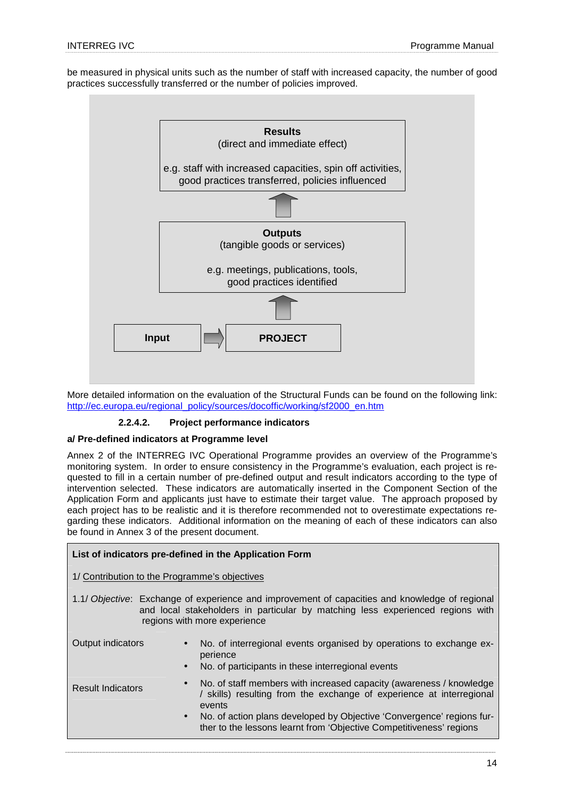be measured in physical units such as the number of staff with increased capacity, the number of good practices successfully transferred or the number of policies improved.



More detailed information on the evaluation of the Structural Funds can be found on the following link: http://ec.europa.eu/regional\_policy/sources/docoffic/working/sf2000\_en.htm

## **2.2.4.2. Project performance indicators**

#### **a/ Pre-defined indicators at Programme level**

Annex 2 of the INTERREG IVC Operational Programme provides an overview of the Programme's monitoring system. In order to ensure consistency in the Programme's evaluation, each project is requested to fill in a certain number of pre-defined output and result indicators according to the type of intervention selected. These indicators are automatically inserted in the Component Section of the Application Form and applicants just have to estimate their target value. The approach proposed by each project has to be realistic and it is therefore recommended not to overestimate expectations regarding these indicators. Additional information on the meaning of each of these indicators can also be found in Annex 3 of the present document.

|                                                                                                                                                                                                                  | List of indicators pre-defined in the Application Form                                                                                                                                                                                                                                                                          |  |  |  |
|------------------------------------------------------------------------------------------------------------------------------------------------------------------------------------------------------------------|---------------------------------------------------------------------------------------------------------------------------------------------------------------------------------------------------------------------------------------------------------------------------------------------------------------------------------|--|--|--|
| 1/ Contribution to the Programme's objectives                                                                                                                                                                    |                                                                                                                                                                                                                                                                                                                                 |  |  |  |
| 1.1/ Objective: Exchange of experience and improvement of capacities and knowledge of regional<br>and local stakeholders in particular by matching less experienced regions with<br>regions with more experience |                                                                                                                                                                                                                                                                                                                                 |  |  |  |
| Output indicators                                                                                                                                                                                                | No. of interregional events organised by operations to exchange ex-<br>$\bullet$<br>perience<br>No. of participants in these interregional events<br>$\bullet$                                                                                                                                                                  |  |  |  |
| <b>Result Indicators</b>                                                                                                                                                                                         | No. of staff members with increased capacity (awareness / knowledge<br>$\bullet$<br>/ skills) resulting from the exchange of experience at interregional<br>events<br>No. of action plans developed by Objective 'Convergence' regions fur-<br>$\bullet$<br>ther to the lessons learnt from 'Objective Competitiveness' regions |  |  |  |
|                                                                                                                                                                                                                  |                                                                                                                                                                                                                                                                                                                                 |  |  |  |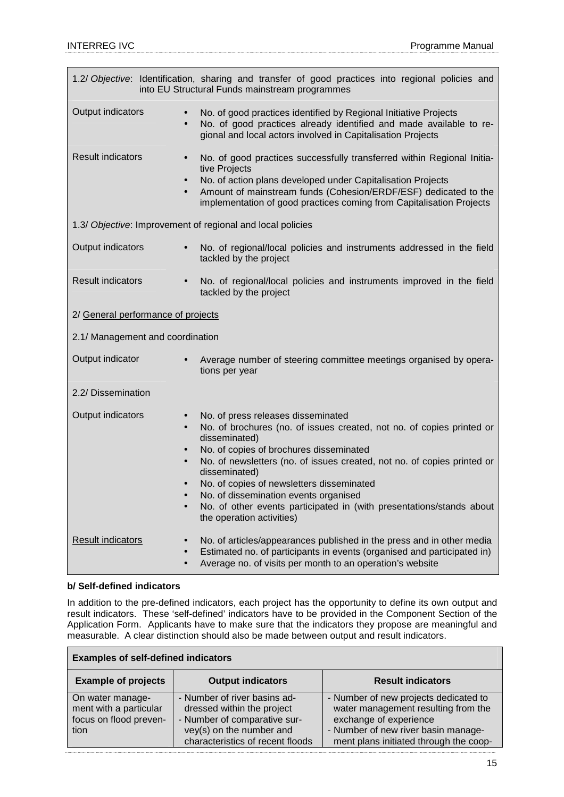| 1.2/ Objective: Identification, sharing and transfer of good practices into regional policies and<br>into EU Structural Funds mainstream programmes                                                                                                                                                                                                                                                                                                                                                                        |                                                                                                                                                                                                                                                                                                                                          |  |  |
|----------------------------------------------------------------------------------------------------------------------------------------------------------------------------------------------------------------------------------------------------------------------------------------------------------------------------------------------------------------------------------------------------------------------------------------------------------------------------------------------------------------------------|------------------------------------------------------------------------------------------------------------------------------------------------------------------------------------------------------------------------------------------------------------------------------------------------------------------------------------------|--|--|
| Output indicators                                                                                                                                                                                                                                                                                                                                                                                                                                                                                                          | No. of good practices identified by Regional Initiative Projects<br>$\bullet$<br>No. of good practices already identified and made available to re-<br>$\bullet$<br>gional and local actors involved in Capitalisation Projects                                                                                                          |  |  |
| <b>Result indicators</b>                                                                                                                                                                                                                                                                                                                                                                                                                                                                                                   | No. of good practices successfully transferred within Regional Initia-<br>$\bullet$<br>tive Projects<br>No. of action plans developed under Capitalisation Projects<br>$\bullet$<br>Amount of mainstream funds (Cohesion/ERDF/ESF) dedicated to the<br>$\bullet$<br>implementation of good practices coming from Capitalisation Projects |  |  |
|                                                                                                                                                                                                                                                                                                                                                                                                                                                                                                                            | 1.3/ Objective: Improvement of regional and local policies                                                                                                                                                                                                                                                                               |  |  |
| Output indicators                                                                                                                                                                                                                                                                                                                                                                                                                                                                                                          | No. of regional/local policies and instruments addressed in the field<br>$\bullet$<br>tackled by the project                                                                                                                                                                                                                             |  |  |
| <b>Result indicators</b>                                                                                                                                                                                                                                                                                                                                                                                                                                                                                                   | No. of regional/local policies and instruments improved in the field<br>$\bullet$<br>tackled by the project                                                                                                                                                                                                                              |  |  |
| 2/ General performance of projects                                                                                                                                                                                                                                                                                                                                                                                                                                                                                         |                                                                                                                                                                                                                                                                                                                                          |  |  |
| 2.1/ Management and coordination                                                                                                                                                                                                                                                                                                                                                                                                                                                                                           |                                                                                                                                                                                                                                                                                                                                          |  |  |
| Output indicator                                                                                                                                                                                                                                                                                                                                                                                                                                                                                                           | Average number of steering committee meetings organised by opera-<br>tions per year                                                                                                                                                                                                                                                      |  |  |
| 2.2/ Dissemination                                                                                                                                                                                                                                                                                                                                                                                                                                                                                                         |                                                                                                                                                                                                                                                                                                                                          |  |  |
| Output indicators<br>No. of press releases disseminated<br>$\bullet$<br>No. of brochures (no. of issues created, not no. of copies printed or<br>$\bullet$<br>disseminated)<br>No. of copies of brochures disseminated<br>No. of newsletters (no. of issues created, not no. of copies printed or<br>$\bullet$<br>disseminated)<br>No. of copies of newsletters disseminated<br>No. of dissemination events organised<br>No. of other events participated in (with presentations/stands about<br>the operation activities) |                                                                                                                                                                                                                                                                                                                                          |  |  |
| <b>Result indicators</b>                                                                                                                                                                                                                                                                                                                                                                                                                                                                                                   | No. of articles/appearances published in the press and in other media<br>Estimated no. of participants in events (organised and participated in)<br>Average no. of visits per month to an operation's website                                                                                                                            |  |  |

## **b/ Self-defined indicators**

In addition to the pre-defined indicators, each project has the opportunity to define its own output and result indicators. These 'self-defined' indicators have to be provided in the Component Section of the Application Form. Applicants have to make sure that the indicators they propose are meaningful and measurable. A clear distinction should also be made between output and result indicators.

| <b>Examples of self-defined indicators</b>                                   |                                                                                                                                                            |                                                                                                                                                                                         |  |
|------------------------------------------------------------------------------|------------------------------------------------------------------------------------------------------------------------------------------------------------|-----------------------------------------------------------------------------------------------------------------------------------------------------------------------------------------|--|
| <b>Example of projects</b>                                                   | <b>Output indicators</b>                                                                                                                                   | <b>Result indicators</b>                                                                                                                                                                |  |
| On water manage-<br>ment with a particular<br>focus on flood preven-<br>tion | - Number of river basins ad-<br>dressed within the project<br>- Number of comparative sur-<br>vey(s) on the number and<br>characteristics of recent floods | - Number of new projects dedicated to<br>water management resulting from the<br>exchange of experience<br>- Number of new river basin manage-<br>ment plans initiated through the coop- |  |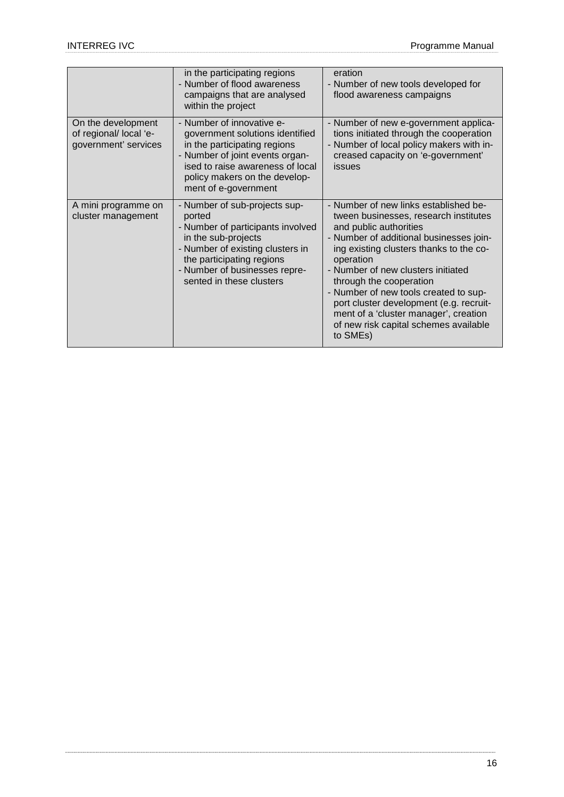|                                                                      | in the participating regions<br>- Number of flood awareness<br>campaigns that are analysed<br>within the project                                                                                                                  | eration<br>- Number of new tools developed for<br>flood awareness campaigns                                                                                                                                                                                                                                                                                                                                                                                    |
|----------------------------------------------------------------------|-----------------------------------------------------------------------------------------------------------------------------------------------------------------------------------------------------------------------------------|----------------------------------------------------------------------------------------------------------------------------------------------------------------------------------------------------------------------------------------------------------------------------------------------------------------------------------------------------------------------------------------------------------------------------------------------------------------|
| On the development<br>of regional/ local 'e-<br>government' services | - Number of innovative e-<br>government solutions identified<br>in the participating regions<br>- Number of joint events organ-<br>ised to raise awareness of local<br>policy makers on the develop-<br>ment of e-government      | - Number of new e-government applica-<br>tions initiated through the cooperation<br>- Number of local policy makers with in-<br>creased capacity on 'e-government'<br>issues                                                                                                                                                                                                                                                                                   |
| A mini programme on<br>cluster management                            | - Number of sub-projects sup-<br>ported<br>- Number of participants involved<br>in the sub-projects<br>- Number of existing clusters in<br>the participating regions<br>- Number of businesses repre-<br>sented in these clusters | - Number of new links established be-<br>tween businesses, research institutes<br>and public authorities<br>- Number of additional businesses join-<br>ing existing clusters thanks to the co-<br>operation<br>- Number of new clusters initiated<br>through the cooperation<br>- Number of new tools created to sup-<br>port cluster development (e.g. recruit-<br>ment of a 'cluster manager', creation<br>of new risk capital schemes available<br>to SMEs) |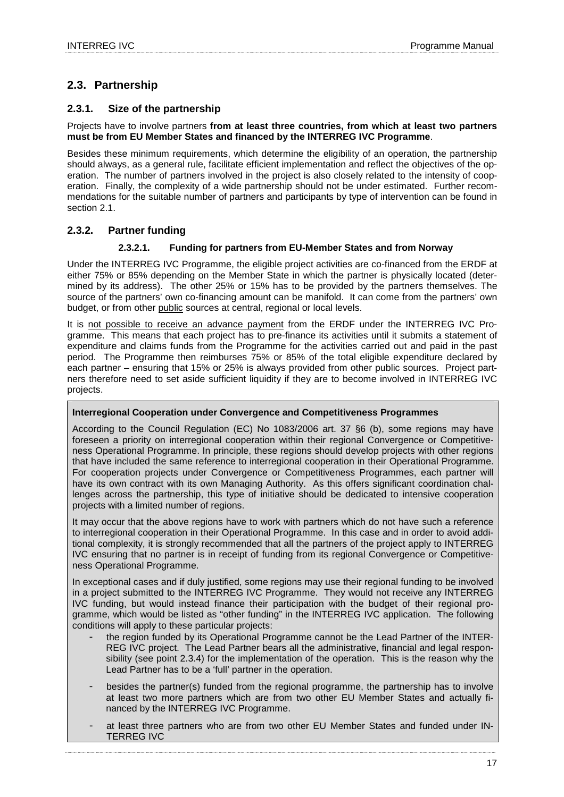## **2.3. Partnership**

## **2.3.1. Size of the partnership**

## Projects have to involve partners **from at least three countries, from which at least two partners must be from EU Member States and financed by the INTERREG IVC Programme**.

Besides these minimum requirements, which determine the eligibility of an operation, the partnership should always, as a general rule, facilitate efficient implementation and reflect the objectives of the operation. The number of partners involved in the project is also closely related to the intensity of cooperation. Finally, the complexity of a wide partnership should not be under estimated. Further recommendations for the suitable number of partners and participants by type of intervention can be found in section 2.1.

## **2.3.2. Partner funding**

## **2.3.2.1. Funding for partners from EU-Member States and from Norway**

Under the INTERREG IVC Programme, the eligible project activities are co-financed from the ERDF at either 75% or 85% depending on the Member State in which the partner is physically located (determined by its address). The other 25% or 15% has to be provided by the partners themselves. The source of the partners' own co-financing amount can be manifold. It can come from the partners' own budget, or from other public sources at central, regional or local levels.

It is not possible to receive an advance payment from the ERDF under the INTERREG IVC Programme. This means that each project has to pre-finance its activities until it submits a statement of expenditure and claims funds from the Programme for the activities carried out and paid in the past period. The Programme then reimburses 75% or 85% of the total eligible expenditure declared by each partner – ensuring that 15% or 25% is always provided from other public sources. Project partners therefore need to set aside sufficient liquidity if they are to become involved in INTERREG IVC projects.

## **Interregional Cooperation under Convergence and Competitiveness Programmes**

According to the Council Regulation (EC) No 1083/2006 art. 37 §6 (b), some regions may have foreseen a priority on interregional cooperation within their regional Convergence or Competitiveness Operational Programme. In principle, these regions should develop projects with other regions that have included the same reference to interregional cooperation in their Operational Programme. For cooperation projects under Convergence or Competitiveness Programmes, each partner will have its own contract with its own Managing Authority. As this offers significant coordination challenges across the partnership, this type of initiative should be dedicated to intensive cooperation projects with a limited number of regions.

It may occur that the above regions have to work with partners which do not have such a reference to interregional cooperation in their Operational Programme. In this case and in order to avoid additional complexity, it is strongly recommended that all the partners of the project apply to INTERREG IVC ensuring that no partner is in receipt of funding from its regional Convergence or Competitiveness Operational Programme.

In exceptional cases and if duly justified, some regions may use their regional funding to be involved in a project submitted to the INTERREG IVC Programme. They would not receive any INTERREG IVC funding, but would instead finance their participation with the budget of their regional programme, which would be listed as "other funding" in the INTERREG IVC application. The following conditions will apply to these particular projects:

- the region funded by its Operational Programme cannot be the Lead Partner of the INTER-REG IVC project. The Lead Partner bears all the administrative, financial and legal responsibility (see point 2.3.4) for the implementation of the operation. This is the reason why the Lead Partner has to be a 'full' partner in the operation.
- besides the partner(s) funded from the regional programme, the partnership has to involve at least two more partners which are from two other EU Member States and actually financed by the INTERREG IVC Programme.
- at least three partners who are from two other EU Member States and funded under IN-TERREG IVC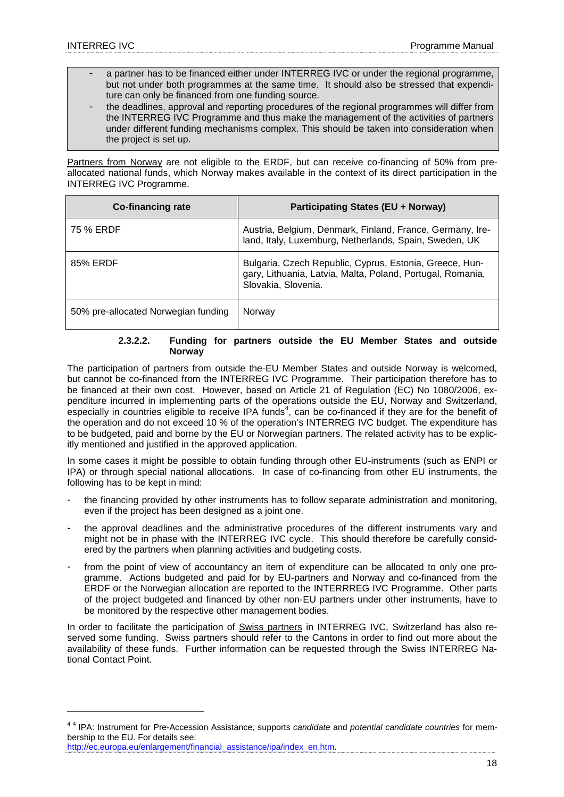- a partner has to be financed either under INTERREG IVC or under the regional programme, but not under both programmes at the same time. It should also be stressed that expenditure can only be financed from one funding source.
- the deadlines, approval and reporting procedures of the regional programmes will differ from the INTERREG IVC Programme and thus make the management of the activities of partners under different funding mechanisms complex. This should be taken into consideration when the project is set up.

Partners from Norway are not eligible to the ERDF, but can receive co-financing of 50% from preallocated national funds, which Norway makes available in the context of its direct participation in the INTERREG IVC Programme.

| Co-financing rate                   | <b>Participating States (EU + Norway)</b>                                                                                                    |
|-------------------------------------|----------------------------------------------------------------------------------------------------------------------------------------------|
| 75 % ERDF                           | Austria, Belgium, Denmark, Finland, France, Germany, Ire-<br>land, Italy, Luxemburg, Netherlands, Spain, Sweden, UK                          |
| 85% ERDF                            | Bulgaria, Czech Republic, Cyprus, Estonia, Greece, Hun-<br>gary, Lithuania, Latvia, Malta, Poland, Portugal, Romania,<br>Slovakia, Slovenia. |
| 50% pre-allocated Norwegian funding | Norway                                                                                                                                       |

## **2.3.2.2. Funding for partners outside the EU Member States and outside Norway**

The participation of partners from outside the-EU Member States and outside Norway is welcomed, but cannot be co-financed from the INTERREG IVC Programme. Their participation therefore has to be financed at their own cost. However, based on Article 21 of Regulation (EC) No 1080/2006, expenditure incurred in implementing parts of the operations outside the EU, Norway and Switzerland, especially in countries eligible to receive IPA funds<sup>4</sup>, can be co-financed if they are for the benefit of the operation and do not exceed 10 % of the operation's INTERREG IVC budget. The expenditure has to be budgeted, paid and borne by the EU or Norwegian partners. The related activity has to be explicitly mentioned and justified in the approved application.

In some cases it might be possible to obtain funding through other EU-instruments (such as ENPI or IPA) or through special national allocations. In case of co-financing from other EU instruments, the following has to be kept in mind:

- the financing provided by other instruments has to follow separate administration and monitoring, even if the project has been designed as a joint one.
- the approval deadlines and the administrative procedures of the different instruments vary and might not be in phase with the INTERREG IVC cycle. This should therefore be carefully considered by the partners when planning activities and budgeting costs.
- from the point of view of accountancy an item of expenditure can be allocated to only one programme. Actions budgeted and paid for by EU-partners and Norway and co-financed from the ERDF or the Norwegian allocation are reported to the INTERRREG IVC Programme. Other parts of the project budgeted and financed by other non-EU partners under other instruments, have to be monitored by the respective other management bodies.

In order to facilitate the participation of Swiss partners in INTERREG IVC. Switzerland has also reserved some funding. Swiss partners should refer to the Cantons in order to find out more about the availability of these funds. Further information can be requested through the Swiss INTERREG National Contact Point.

http://ec.europa.eu/enlargement/financial\_assistance/ipa/index\_en.htm.

 $\overline{a}$ 

<sup>&</sup>lt;sup>44</sup> IPA: Instrument for Pre-Accession Assistance, supports candidate and potential candidate countries for membership to the EU. For details see: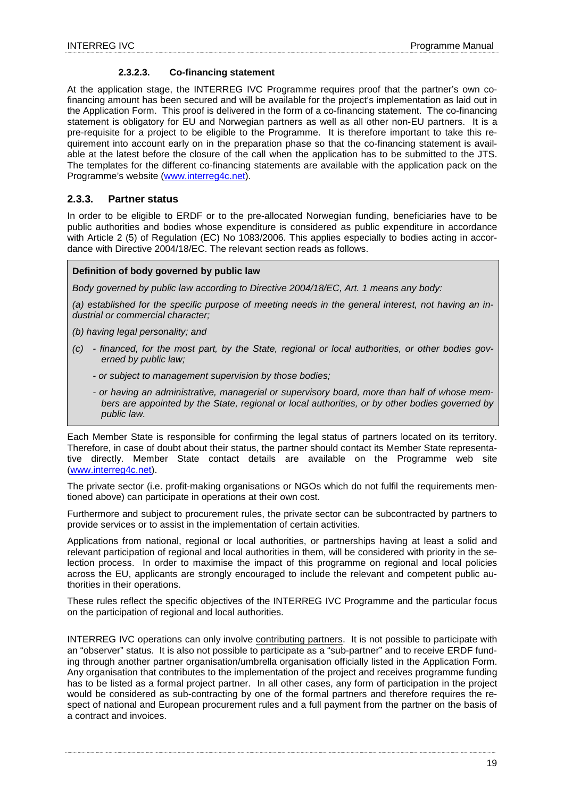## **2.3.2.3. Co-financing statement**

At the application stage, the INTERREG IVC Programme requires proof that the partner's own cofinancing amount has been secured and will be available for the project's implementation as laid out in the Application Form. This proof is delivered in the form of a co-financing statement. The co-financing statement is obligatory for EU and Norwegian partners as well as all other non-EU partners. It is a pre-requisite for a project to be eligible to the Programme. It is therefore important to take this requirement into account early on in the preparation phase so that the co-financing statement is available at the latest before the closure of the call when the application has to be submitted to the JTS. The templates for the different co-financing statements are available with the application pack on the Programme's website (www.interreg4c.net).

## **2.3.3. Partner status**

In order to be eligible to ERDF or to the pre-allocated Norwegian funding, beneficiaries have to be public authorities and bodies whose expenditure is considered as public expenditure in accordance with Article 2 (5) of Regulation (EC) No 1083/2006. This applies especially to bodies acting in accordance with Directive 2004/18/EC. The relevant section reads as follows.

## **Definition of body governed by public law**

Body governed by public law according to Directive 2004/18/EC, Art. 1 means any body:

(a) established for the specific purpose of meeting needs in the general interest, not having an industrial or commercial character;

(b) having legal personality; and

- (c) financed, for the most part, by the State, regional or local authorities, or other bodies governed by public law;
	- or subject to management supervision by those bodies;
	- or having an administrative, managerial or supervisory board, more than half of whose members are appointed by the State, regional or local authorities, or by other bodies governed by public law.

Each Member State is responsible for confirming the legal status of partners located on its territory. Therefore, in case of doubt about their status, the partner should contact its Member State representative directly. Member State contact details are available on the Programme web site (www.interreg4c.net).

The private sector (i.e. profit-making organisations or NGOs which do not fulfil the requirements mentioned above) can participate in operations at their own cost.

Furthermore and subject to procurement rules, the private sector can be subcontracted by partners to provide services or to assist in the implementation of certain activities.

Applications from national, regional or local authorities, or partnerships having at least a solid and relevant participation of regional and local authorities in them, will be considered with priority in the selection process. In order to maximise the impact of this programme on regional and local policies across the EU, applicants are strongly encouraged to include the relevant and competent public authorities in their operations.

These rules reflect the specific objectives of the INTERREG IVC Programme and the particular focus on the participation of regional and local authorities.

INTERREG IVC operations can only involve contributing partners. It is not possible to participate with an "observer" status. It is also not possible to participate as a "sub-partner" and to receive ERDF funding through another partner organisation/umbrella organisation officially listed in the Application Form. Any organisation that contributes to the implementation of the project and receives programme funding has to be listed as a formal project partner. In all other cases, any form of participation in the project would be considered as sub-contracting by one of the formal partners and therefore requires the respect of national and European procurement rules and a full payment from the partner on the basis of a contract and invoices.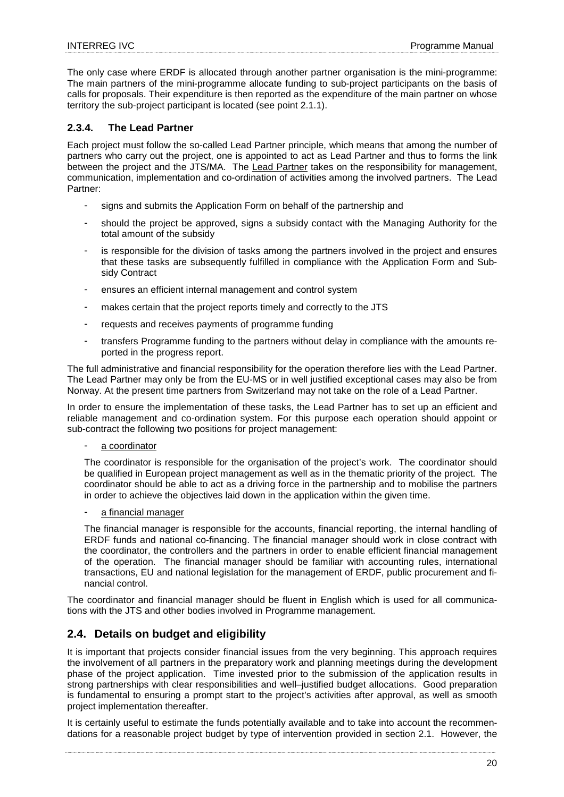The only case where ERDF is allocated through another partner organisation is the mini-programme: The main partners of the mini-programme allocate funding to sub-project participants on the basis of calls for proposals. Their expenditure is then reported as the expenditure of the main partner on whose territory the sub-project participant is located (see point 2.1.1).

## **2.3.4. The Lead Partner**

Each project must follow the so-called Lead Partner principle, which means that among the number of partners who carry out the project, one is appointed to act as Lead Partner and thus to forms the link between the project and the JTS/MA. The Lead Partner takes on the responsibility for management, communication, implementation and co-ordination of activities among the involved partners. The Lead Partner:

- signs and submits the Application Form on behalf of the partnership and
- should the project be approved, signs a subsidy contact with the Managing Authority for the total amount of the subsidy
- is responsible for the division of tasks among the partners involved in the project and ensures that these tasks are subsequently fulfilled in compliance with the Application Form and Subsidy Contract
- ensures an efficient internal management and control system
- makes certain that the project reports timely and correctly to the JTS
- requests and receives payments of programme funding
- transfers Programme funding to the partners without delay in compliance with the amounts reported in the progress report.

The full administrative and financial responsibility for the operation therefore lies with the Lead Partner. The Lead Partner may only be from the EU-MS or in well justified exceptional cases may also be from Norway. At the present time partners from Switzerland may not take on the role of a Lead Partner.

In order to ensure the implementation of these tasks, the Lead Partner has to set up an efficient and reliable management and co-ordination system. For this purpose each operation should appoint or sub-contract the following two positions for project management:

#### a coordinator

The coordinator is responsible for the organisation of the project's work. The coordinator should be qualified in European project management as well as in the thematic priority of the project. The coordinator should be able to act as a driving force in the partnership and to mobilise the partners in order to achieve the objectives laid down in the application within the given time.

#### a financial manager

The financial manager is responsible for the accounts, financial reporting, the internal handling of ERDF funds and national co-financing. The financial manager should work in close contract with the coordinator, the controllers and the partners in order to enable efficient financial management of the operation. The financial manager should be familiar with accounting rules, international transactions, EU and national legislation for the management of ERDF, public procurement and financial control.

The coordinator and financial manager should be fluent in English which is used for all communications with the JTS and other bodies involved in Programme management.

## **2.4. Details on budget and eligibility**

It is important that projects consider financial issues from the very beginning. This approach requires the involvement of all partners in the preparatory work and planning meetings during the development phase of the project application. Time invested prior to the submission of the application results in strong partnerships with clear responsibilities and well–justified budget allocations. Good preparation is fundamental to ensuring a prompt start to the project's activities after approval, as well as smooth project implementation thereafter.

It is certainly useful to estimate the funds potentially available and to take into account the recommendations for a reasonable project budget by type of intervention provided in section 2.1. However, the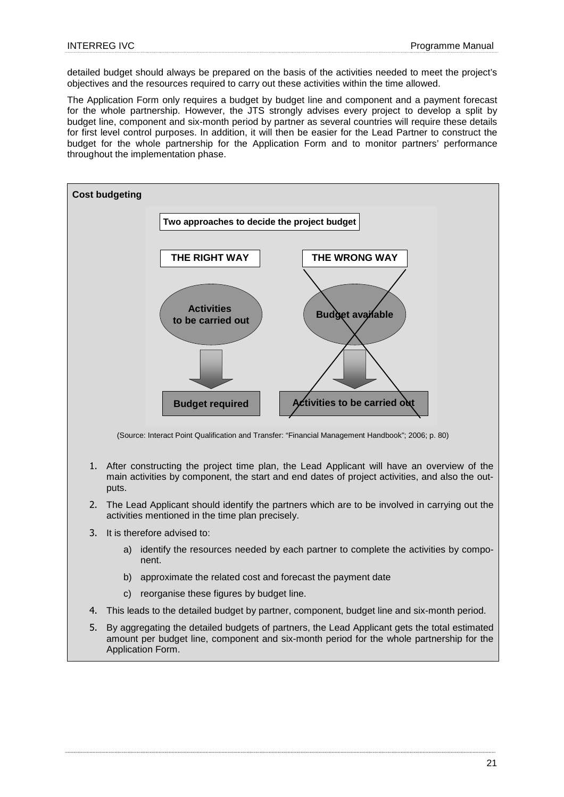detailed budget should always be prepared on the basis of the activities needed to meet the project's objectives and the resources required to carry out these activities within the time allowed.

The Application Form only requires a budget by budget line and component and a payment forecast for the whole partnership. However, the JTS strongly advises every project to develop a split by budget line, component and six-month period by partner as several countries will require these details for first level control purposes. In addition, it will then be easier for the Lead Partner to construct the budget for the whole partnership for the Application Form and to monitor partners' performance throughout the implementation phase.



(Source: Interact Point Qualification and Transfer: "Financial Management Handbook"; 2006; p. 80)

- 1. After constructing the project time plan, the Lead Applicant will have an overview of the main activities by component, the start and end dates of project activities, and also the outputs.
- 2. The Lead Applicant should identify the partners which are to be involved in carrying out the activities mentioned in the time plan precisely.
- 3. It is therefore advised to:
	- a) identify the resources needed by each partner to complete the activities by component.
	- b) approximate the related cost and forecast the payment date
	- c) reorganise these figures by budget line.
- 4. This leads to the detailed budget by partner, component, budget line and six-month period.
- 5. By aggregating the detailed budgets of partners, the Lead Applicant gets the total estimated amount per budget line, component and six-month period for the whole partnership for the Application Form.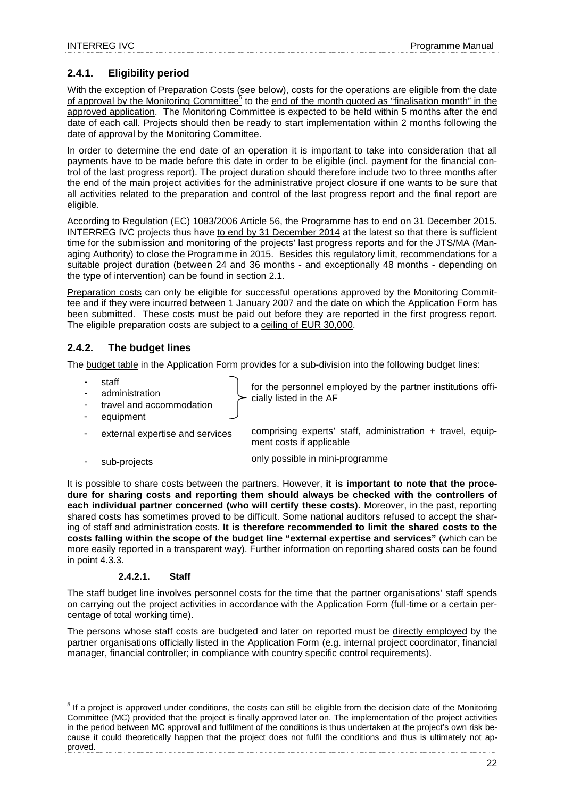## **2.4.1. Eligibility period**

With the exception of Preparation Costs (see below), costs for the operations are eligible from the date of approval by the Monitoring Committee<sup>5</sup> to the end of the month quoted as "finalisation month" in the approved application. The Monitoring Committee is expected to be held within 5 months after the end date of each call. Projects should then be ready to start implementation within 2 months following the date of approval by the Monitoring Committee.

In order to determine the end date of an operation it is important to take into consideration that all payments have to be made before this date in order to be eligible (incl. payment for the financial control of the last progress report). The project duration should therefore include two to three months after the end of the main project activities for the administrative project closure if one wants to be sure that all activities related to the preparation and control of the last progress report and the final report are eligible.

According to Regulation (EC) 1083/2006 Article 56, the Programme has to end on 31 December 2015. INTERREG IVC projects thus have to end by 31 December 2014 at the latest so that there is sufficient time for the submission and monitoring of the projects' last progress reports and for the JTS/MA (Managing Authority) to close the Programme in 2015. Besides this regulatory limit, recommendations for a suitable project duration (between 24 and 36 months - and exceptionally 48 months - depending on the type of intervention) can be found in section 2.1.

Preparation costs can only be eligible for successful operations approved by the Monitoring Committee and if they were incurred between 1 January 2007 and the date on which the Application Form has been submitted. These costs must be paid out before they are reported in the first progress report. The eligible preparation costs are subject to a ceiling of EUR 30,000.

## **2.4.2. The budget lines**

The **budget table** in the Application Form provides for a sub-division into the following budget lines:

staff

 $\overline{a}$ 

- administration
- travel and accommodation equipment

for the personnel employed by the partner institutions officially listed in the AF

- external expertise and services comprising experts' staff, administration + travel, equipment costs if applicable
- sub-projects only possible in mini-programme

It is possible to share costs between the partners. However, **it is important to note that the procedure for sharing costs and reporting them should always be checked with the controllers of each individual partner concerned (who will certify these costs).** Moreover, in the past, reporting shared costs has sometimes proved to be difficult. Some national auditors refused to accept the sharing of staff and administration costs. **It is therefore recommended to limit the shared costs to the costs falling within the scope of the budget line "external expertise and services"** (which can be more easily reported in a transparent way). Further information on reporting shared costs can be found in point 4.3.3.

## **2.4.2.1. Staff**

The staff budget line involves personnel costs for the time that the partner organisations' staff spends on carrying out the project activities in accordance with the Application Form (full-time or a certain percentage of total working time).

The persons whose staff costs are budgeted and later on reported must be directly employed by the partner organisations officially listed in the Application Form (e.g. internal project coordinator, financial manager, financial controller; in compliance with country specific control requirements).

 $5$  If a project is approved under conditions, the costs can still be eligible from the decision date of the Monitoring Committee (MC) provided that the project is finally approved later on. The implementation of the project activities in the period between MC approval and fulfilment of the conditions is thus undertaken at the project's own risk because it could theoretically happen that the project does not fulfil the conditions and thus is ultimately not approved.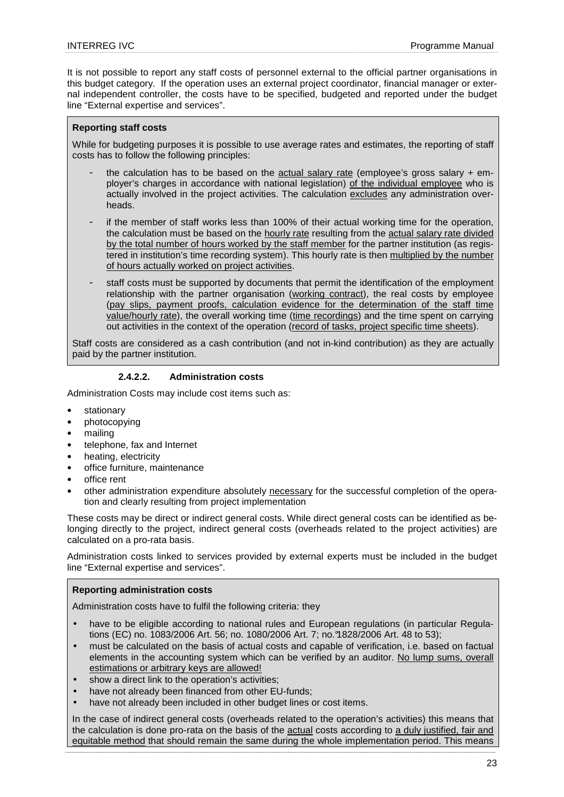It is not possible to report any staff costs of personnel external to the official partner organisations in this budget category. If the operation uses an external project coordinator, financial manager or external independent controller, the costs have to be specified, budgeted and reported under the budget line "External expertise and services".

## **Reporting staff costs**

While for budgeting purposes it is possible to use average rates and estimates, the reporting of staff costs has to follow the following principles:

- the calculation has to be based on the actual salary rate (employee's gross salary  $+$  employer's charges in accordance with national legislation) of the individual employee who is actually involved in the project activities. The calculation excludes any administration overheads.
- if the member of staff works less than 100% of their actual working time for the operation, the calculation must be based on the hourly rate resulting from the actual salary rate divided by the total number of hours worked by the staff member for the partner institution (as registered in institution's time recording system). This hourly rate is then multiplied by the number of hours actually worked on project activities.
- staff costs must be supported by documents that permit the identification of the employment relationship with the partner organisation (working contract), the real costs by employee (pay slips, payment proofs, calculation evidence for the determination of the staff time value/hourly rate), the overall working time (time recordings) and the time spent on carrying out activities in the context of the operation (record of tasks, project specific time sheets).

Staff costs are considered as a cash contribution (and not in-kind contribution) as they are actually paid by the partner institution.

#### **2.4.2.2. Administration costs**

Administration Costs may include cost items such as:

- **stationary**
- photocopying
- mailing
- telephone, fax and Internet
- heating, electricity
- office furniture, maintenance
- office rent
- other administration expenditure absolutely necessary for the successful completion of the operation and clearly resulting from project implementation

These costs may be direct or indirect general costs. While direct general costs can be identified as belonging directly to the project, indirect general costs (overheads related to the project activities) are calculated on a pro-rata basis.

Administration costs linked to services provided by external experts must be included in the budget line "External expertise and services".

#### **Reporting administration costs**

Administration costs have to fulfil the following criteria: they

- have to be eligible according to national rules and European regulations (in particular Regulations (EC) no. 1083/2006 Art. 56; no. 1080/2006 Art. 7; no.°1828/2006 Art. 48 to 53);
- must be calculated on the basis of actual costs and capable of verification, i.e. based on factual elements in the accounting system which can be verified by an auditor. No lump sums, overall estimations or arbitrary keys are allowed!
- show a direct link to the operation's activities:
- have not already been financed from other EU-funds:
- have not already been included in other budget lines or cost items.

In the case of indirect general costs (overheads related to the operation's activities) this means that the calculation is done pro-rata on the basis of the actual costs according to a duly justified, fair and equitable method that should remain the same during the whole implementation period. This means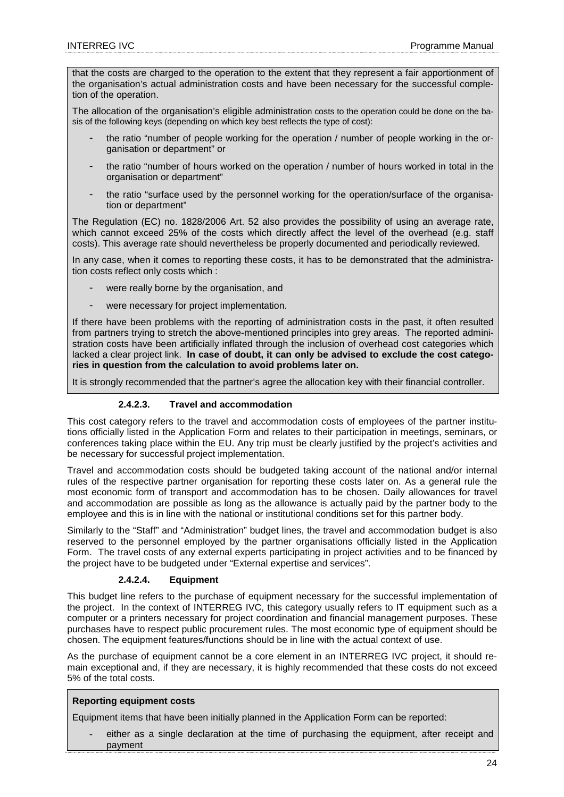that the costs are charged to the operation to the extent that they represent a fair apportionment of the organisation's actual administration costs and have been necessary for the successful completion of the operation.

The allocation of the organisation's eligible administration costs to the operation could be done on the basis of the following keys (depending on which key best reflects the type of cost):

- the ratio "number of people working for the operation / number of people working in the organisation or department" or
- the ratio "number of hours worked on the operation / number of hours worked in total in the organisation or department"
- the ratio "surface used by the personnel working for the operation/surface of the organisation or department"

The Regulation (EC) no. 1828/2006 Art. 52 also provides the possibility of using an average rate, which cannot exceed 25% of the costs which directly affect the level of the overhead (e.g. staff costs). This average rate should nevertheless be properly documented and periodically reviewed.

In any case, when it comes to reporting these costs, it has to be demonstrated that the administration costs reflect only costs which :

- were really borne by the organisation, and
- were necessary for project implementation.

If there have been problems with the reporting of administration costs in the past, it often resulted from partners trying to stretch the above-mentioned principles into grey areas. The reported administration costs have been artificially inflated through the inclusion of overhead cost categories which lacked a clear project link. **In case of doubt, it can only be advised to exclude the cost categories in question from the calculation to avoid problems later on.**

It is strongly recommended that the partner's agree the allocation key with their financial controller.

## **2.4.2.3. Travel and accommodation**

This cost category refers to the travel and accommodation costs of employees of the partner institutions officially listed in the Application Form and relates to their participation in meetings, seminars, or conferences taking place within the EU. Any trip must be clearly justified by the project's activities and be necessary for successful project implementation.

Travel and accommodation costs should be budgeted taking account of the national and/or internal rules of the respective partner organisation for reporting these costs later on. As a general rule the most economic form of transport and accommodation has to be chosen. Daily allowances for travel and accommodation are possible as long as the allowance is actually paid by the partner body to the employee and this is in line with the national or institutional conditions set for this partner body.

Similarly to the "Staff" and "Administration" budget lines, the travel and accommodation budget is also reserved to the personnel employed by the partner organisations officially listed in the Application Form. The travel costs of any external experts participating in project activities and to be financed by the project have to be budgeted under "External expertise and services".

## **2.4.2.4. Equipment**

This budget line refers to the purchase of equipment necessary for the successful implementation of the project. In the context of INTERREG IVC, this category usually refers to IT equipment such as a computer or a printers necessary for project coordination and financial management purposes. These purchases have to respect public procurement rules. The most economic type of equipment should be chosen. The equipment features/functions should be in line with the actual context of use.

As the purchase of equipment cannot be a core element in an INTERREG IVC project, it should remain exceptional and, if they are necessary, it is highly recommended that these costs do not exceed 5% of the total costs.

## **Reporting equipment costs**

Equipment items that have been initially planned in the Application Form can be reported:

either as a single declaration at the time of purchasing the equipment, after receipt and payment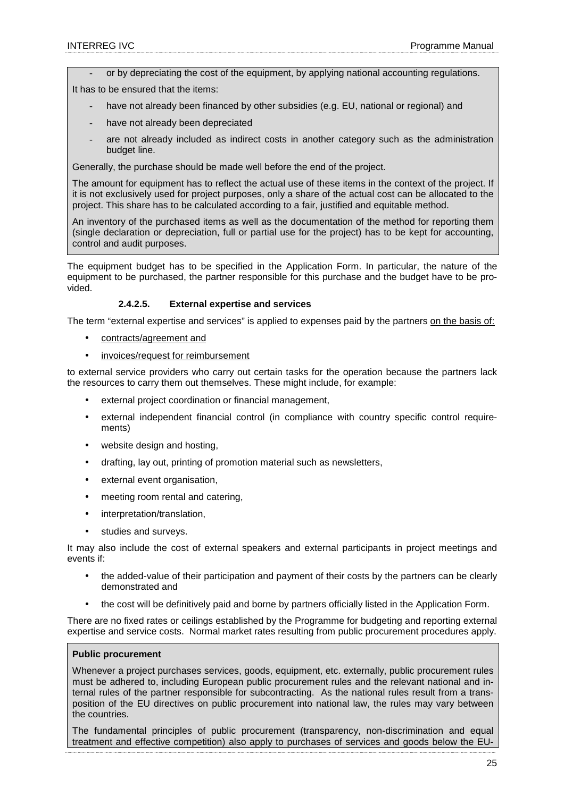or by depreciating the cost of the equipment, by applying national accounting regulations.

It has to be ensured that the items:

- have not already been financed by other subsidies (e.g. EU, national or regional) and
- have not already been depreciated
- are not already included as indirect costs in another category such as the administration budget line.

Generally, the purchase should be made well before the end of the project.

The amount for equipment has to reflect the actual use of these items in the context of the project. If it is not exclusively used for project purposes, only a share of the actual cost can be allocated to the project. This share has to be calculated according to a fair, justified and equitable method.

An inventory of the purchased items as well as the documentation of the method for reporting them (single declaration or depreciation, full or partial use for the project) has to be kept for accounting, control and audit purposes.

The equipment budget has to be specified in the Application Form. In particular, the nature of the equipment to be purchased, the partner responsible for this purchase and the budget have to be provided.

#### **2.4.2.5. External expertise and services**

The term "external expertise and services" is applied to expenses paid by the partners on the basis of:

- contracts/agreement and
- invoices/request for reimbursement

to external service providers who carry out certain tasks for the operation because the partners lack the resources to carry them out themselves. These might include, for example:

- external project coordination or financial management,
- external independent financial control (in compliance with country specific control requirements)
- website design and hosting,
- drafting, lay out, printing of promotion material such as newsletters,
- external event organisation,
- meeting room rental and catering,
- interpretation/translation,
- studies and surveys.

It may also include the cost of external speakers and external participants in project meetings and events if:

- the added-value of their participation and payment of their costs by the partners can be clearly demonstrated and
- the cost will be definitively paid and borne by partners officially listed in the Application Form.

There are no fixed rates or ceilings established by the Programme for budgeting and reporting external expertise and service costs. Normal market rates resulting from public procurement procedures apply.

#### **Public procurement**

Whenever a project purchases services, goods, equipment, etc. externally, public procurement rules must be adhered to, including European public procurement rules and the relevant national and internal rules of the partner responsible for subcontracting. As the national rules result from a transposition of the EU directives on public procurement into national law, the rules may vary between the countries.

The fundamental principles of public procurement (transparency, non-discrimination and equal treatment and effective competition) also apply to purchases of services and goods below the EU-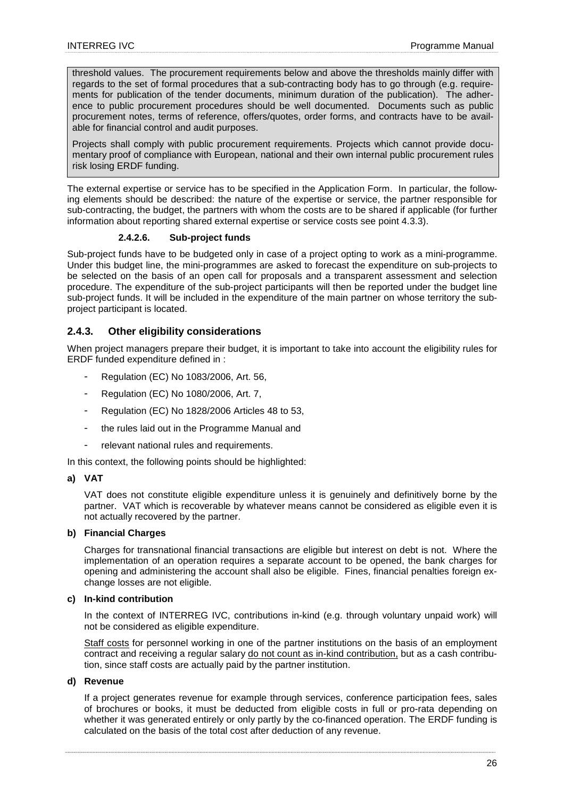threshold values. The procurement requirements below and above the thresholds mainly differ with regards to the set of formal procedures that a sub-contracting body has to go through (e.g. requirements for publication of the tender documents, minimum duration of the publication). The adherence to public procurement procedures should be well documented. Documents such as public procurement notes, terms of reference, offers/quotes, order forms, and contracts have to be available for financial control and audit purposes.

Projects shall comply with public procurement requirements. Projects which cannot provide documentary proof of compliance with European, national and their own internal public procurement rules risk losing ERDF funding.

The external expertise or service has to be specified in the Application Form. In particular, the following elements should be described: the nature of the expertise or service, the partner responsible for sub-contracting, the budget, the partners with whom the costs are to be shared if applicable (for further information about reporting shared external expertise or service costs see point 4.3.3).

## **2.4.2.6. Sub-project funds**

Sub-project funds have to be budgeted only in case of a project opting to work as a mini-programme. Under this budget line, the mini-programmes are asked to forecast the expenditure on sub-projects to be selected on the basis of an open call for proposals and a transparent assessment and selection procedure. The expenditure of the sub-project participants will then be reported under the budget line sub-project funds. It will be included in the expenditure of the main partner on whose territory the subproject participant is located.

## **2.4.3. Other eligibility considerations**

When project managers prepare their budget, it is important to take into account the eligibility rules for ERDF funded expenditure defined in :

- Regulation (EC) No 1083/2006, Art. 56,
- Regulation (EC) No 1080/2006, Art. 7,
- Regulation (EC) No 1828/2006 Articles 48 to 53,
- the rules laid out in the Programme Manual and
- relevant national rules and requirements.

In this context, the following points should be highlighted:

## **a) VAT**

VAT does not constitute eligible expenditure unless it is genuinely and definitively borne by the partner. VAT which is recoverable by whatever means cannot be considered as eligible even it is not actually recovered by the partner.

#### **b) Financial Charges**

Charges for transnational financial transactions are eligible but interest on debt is not. Where the implementation of an operation requires a separate account to be opened, the bank charges for opening and administering the account shall also be eligible. Fines, financial penalties foreign exchange losses are not eligible.

#### **c) In-kind contribution**

In the context of INTERREG IVC, contributions in-kind (e.g. through voluntary unpaid work) will not be considered as eligible expenditure.

Staff costs for personnel working in one of the partner institutions on the basis of an employment contract and receiving a regular salary do not count as in-kind contribution, but as a cash contribution, since staff costs are actually paid by the partner institution.

#### **d) Revenue**

If a project generates revenue for example through services, conference participation fees, sales of brochures or books, it must be deducted from eligible costs in full or pro-rata depending on whether it was generated entirely or only partly by the co-financed operation. The ERDF funding is calculated on the basis of the total cost after deduction of any revenue.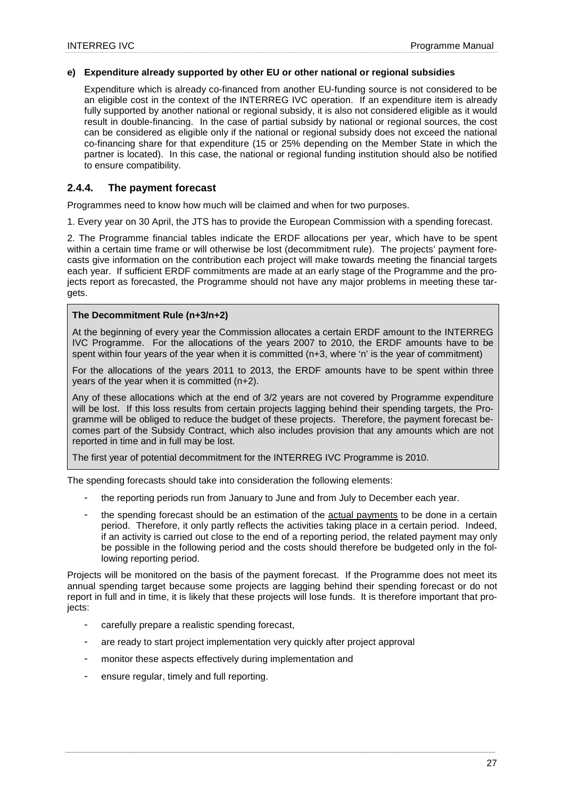## **e) Expenditure already supported by other EU or other national or regional subsidies**

Expenditure which is already co-financed from another EU-funding source is not considered to be an eligible cost in the context of the INTERREG IVC operation. If an expenditure item is already fully supported by another national or regional subsidy, it is also not considered eligible as it would result in double-financing. In the case of partial subsidy by national or regional sources, the cost can be considered as eligible only if the national or regional subsidy does not exceed the national co-financing share for that expenditure (15 or 25% depending on the Member State in which the partner is located). In this case, the national or regional funding institution should also be notified to ensure compatibility.

## **2.4.4. The payment forecast**

Programmes need to know how much will be claimed and when for two purposes.

1. Every year on 30 April, the JTS has to provide the European Commission with a spending forecast.

2. The Programme financial tables indicate the ERDF allocations per year, which have to be spent within a certain time frame or will otherwise be lost (decommitment rule). The projects' payment forecasts give information on the contribution each project will make towards meeting the financial targets each year. If sufficient ERDF commitments are made at an early stage of the Programme and the projects report as forecasted, the Programme should not have any major problems in meeting these targets.

#### **The Decommitment Rule (n+3/n+2)**

At the beginning of every year the Commission allocates a certain ERDF amount to the INTERREG IVC Programme. For the allocations of the years 2007 to 2010, the ERDF amounts have to be spent within four years of the year when it is committed (n+3, where 'n' is the year of commitment)

For the allocations of the years 2011 to 2013, the ERDF amounts have to be spent within three years of the year when it is committed (n+2).

Any of these allocations which at the end of 3/2 years are not covered by Programme expenditure will be lost. If this loss results from certain projects lagging behind their spending targets, the Programme will be obliged to reduce the budget of these projects. Therefore, the payment forecast becomes part of the Subsidy Contract, which also includes provision that any amounts which are not reported in time and in full may be lost.

The first year of potential decommitment for the INTERREG IVC Programme is 2010.

The spending forecasts should take into consideration the following elements:

- the reporting periods run from January to June and from July to December each year.
- the spending forecast should be an estimation of the actual payments to be done in a certain period. Therefore, it only partly reflects the activities taking place in a certain period. Indeed, if an activity is carried out close to the end of a reporting period, the related payment may only be possible in the following period and the costs should therefore be budgeted only in the following reporting period.

Projects will be monitored on the basis of the payment forecast. If the Programme does not meet its annual spending target because some projects are lagging behind their spending forecast or do not report in full and in time, it is likely that these projects will lose funds. It is therefore important that proiects:

- carefully prepare a realistic spending forecast,
- are ready to start project implementation very quickly after project approval
- monitor these aspects effectively during implementation and
- ensure regular, timely and full reporting.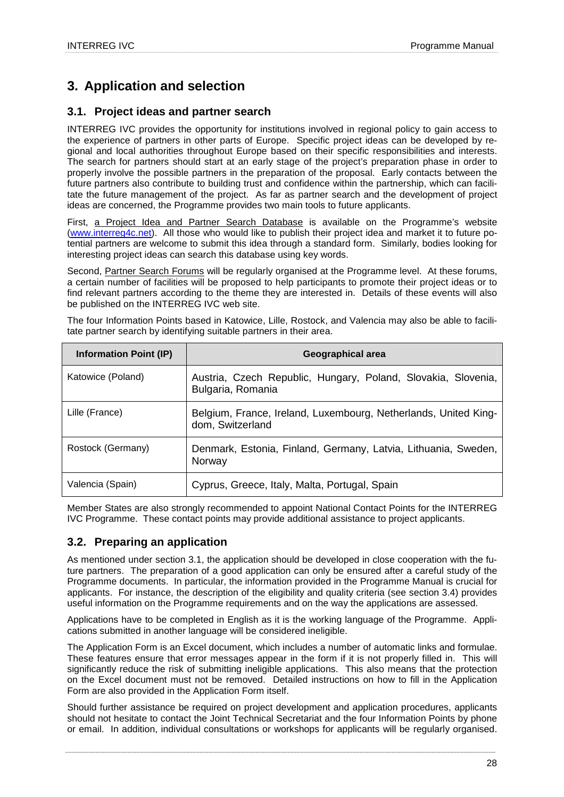## **3. Application and selection**

## **3.1. Project ideas and partner search**

INTERREG IVC provides the opportunity for institutions involved in regional policy to gain access to the experience of partners in other parts of Europe. Specific project ideas can be developed by regional and local authorities throughout Europe based on their specific responsibilities and interests. The search for partners should start at an early stage of the project's preparation phase in order to properly involve the possible partners in the preparation of the proposal. Early contacts between the future partners also contribute to building trust and confidence within the partnership, which can facilitate the future management of the project. As far as partner search and the development of project ideas are concerned, the Programme provides two main tools to future applicants.

First, a Project Idea and Partner Search Database is available on the Programme's website (www.interreg4c.net). All those who would like to publish their project idea and market it to future potential partners are welcome to submit this idea through a standard form. Similarly, bodies looking for interesting project ideas can search this database using key words.

Second, Partner Search Forums will be regularly organised at the Programme level. At these forums, a certain number of facilities will be proposed to help participants to promote their project ideas or to find relevant partners according to the theme they are interested in. Details of these events will also be published on the INTERREG IVC web site.

| <b>Information Point (IP)</b> | Geographical area                                                                   |
|-------------------------------|-------------------------------------------------------------------------------------|
| Katowice (Poland)             | Austria, Czech Republic, Hungary, Poland, Slovakia, Slovenia,<br>Bulgaria, Romania  |
| Lille (France)                | Belgium, France, Ireland, Luxembourg, Netherlands, United King-<br>dom, Switzerland |
| Rostock (Germany)             | Denmark, Estonia, Finland, Germany, Latvia, Lithuania, Sweden,<br>Norway            |
| Valencia (Spain)              | Cyprus, Greece, Italy, Malta, Portugal, Spain                                       |

The four Information Points based in Katowice, Lille, Rostock, and Valencia may also be able to facilitate partner search by identifying suitable partners in their area.

Member States are also strongly recommended to appoint National Contact Points for the INTERREG IVC Programme. These contact points may provide additional assistance to project applicants.

## **3.2. Preparing an application**

As mentioned under section 3.1, the application should be developed in close cooperation with the future partners. The preparation of a good application can only be ensured after a careful study of the Programme documents. In particular, the information provided in the Programme Manual is crucial for applicants. For instance, the description of the eligibility and quality criteria (see section 3.4) provides useful information on the Programme requirements and on the way the applications are assessed.

Applications have to be completed in English as it is the working language of the Programme. Applications submitted in another language will be considered ineligible.

The Application Form is an Excel document, which includes a number of automatic links and formulae. These features ensure that error messages appear in the form if it is not properly filled in. This will significantly reduce the risk of submitting ineligible applications. This also means that the protection on the Excel document must not be removed. Detailed instructions on how to fill in the Application Form are also provided in the Application Form itself.

Should further assistance be required on project development and application procedures, applicants should not hesitate to contact the Joint Technical Secretariat and the four Information Points by phone or email. In addition, individual consultations or workshops for applicants will be regularly organised.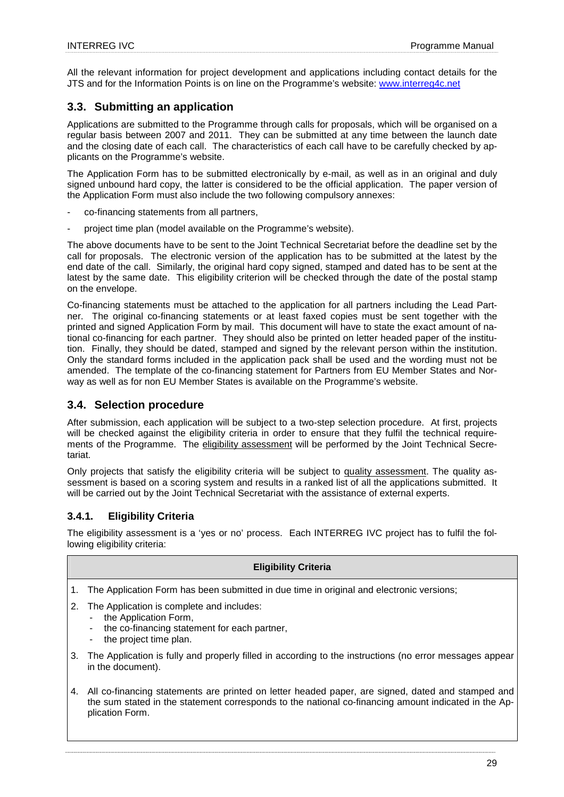All the relevant information for project development and applications including contact details for the JTS and for the Information Points is on line on the Programme's website: www.interreg4c.net

## **3.3. Submitting an application**

Applications are submitted to the Programme through calls for proposals, which will be organised on a regular basis between 2007 and 2011. They can be submitted at any time between the launch date and the closing date of each call. The characteristics of each call have to be carefully checked by applicants on the Programme's website.

The Application Form has to be submitted electronically by e-mail, as well as in an original and duly signed unbound hard copy, the latter is considered to be the official application. The paper version of the Application Form must also include the two following compulsory annexes:

- co-financing statements from all partners,
- project time plan (model available on the Programme's website).

The above documents have to be sent to the Joint Technical Secretariat before the deadline set by the call for proposals. The electronic version of the application has to be submitted at the latest by the end date of the call. Similarly, the original hard copy signed, stamped and dated has to be sent at the latest by the same date. This eligibility criterion will be checked through the date of the postal stamp on the envelope.

Co-financing statements must be attached to the application for all partners including the Lead Partner. The original co-financing statements or at least faxed copies must be sent together with the printed and signed Application Form by mail. This document will have to state the exact amount of national co-financing for each partner. They should also be printed on letter headed paper of the institution. Finally, they should be dated, stamped and signed by the relevant person within the institution. Only the standard forms included in the application pack shall be used and the wording must not be amended. The template of the co-financing statement for Partners from EU Member States and Norway as well as for non EU Member States is available on the Programme's website.

## **3.4. Selection procedure**

After submission, each application will be subject to a two-step selection procedure. At first, projects will be checked against the eligibility criteria in order to ensure that they fulfil the technical requirements of the Programme. The eligibility assessment will be performed by the Joint Technical Secretariat.

Only projects that satisfy the eligibility criteria will be subject to quality assessment. The quality assessment is based on a scoring system and results in a ranked list of all the applications submitted. It will be carried out by the Joint Technical Secretariat with the assistance of external experts.

## **3.4.1. Eligibility Criteria**

The eligibility assessment is a 'yes or no' process. Each INTERREG IVC project has to fulfil the following eligibility criteria:

## **Eligibility Criteria**

- 1. The Application Form has been submitted in due time in original and electronic versions;
- 2. The Application is complete and includes:
	- the Application Form,
	- the co-financing statement for each partner,
	- the project time plan.
- 3. The Application is fully and properly filled in according to the instructions (no error messages appear in the document).
- 4. All co-financing statements are printed on letter headed paper, are signed, dated and stamped and the sum stated in the statement corresponds to the national co-financing amount indicated in the Application Form.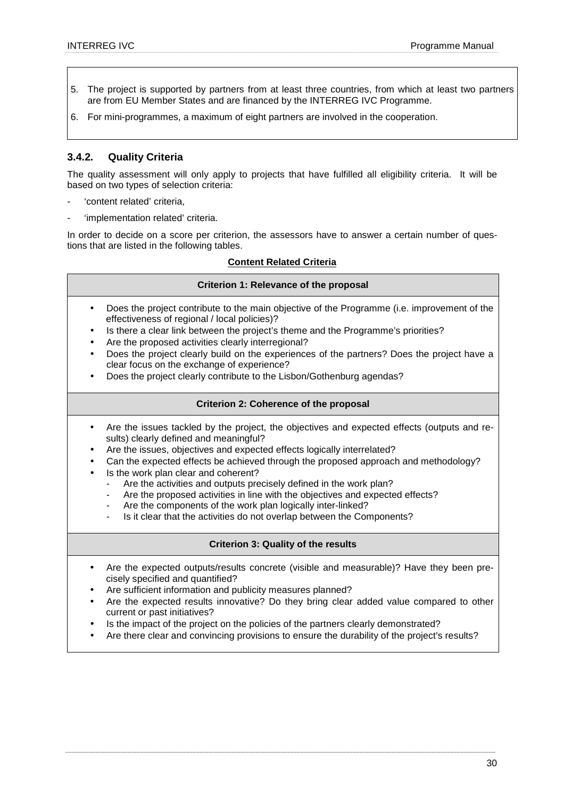- 5. The project is supported by partners from at least three countries, from which at least two partners are from EU Member States and are financed by the INTERREG IVC Programme.
- 6. For mini-programmes, a maximum of eight partners are involved in the cooperation.

## **3.4.2. Quality Criteria**

The quality assessment will only apply to projects that have fulfilled all eligibility criteria. It will be based on two types of selection criteria:

- 'content related' criteria,
- 'implementation related' criteria.

In order to decide on a score per criterion, the assessors have to answer a certain number of questions that are listed in the following tables.

## **Content Related Criteria**

## **Criterion 1: Relevance of the proposal**

- Does the project contribute to the main objective of the Programme (i.e. improvement of the effectiveness of regional / local policies)?
- Is there a clear link between the project's theme and the Programme's priorities?
- Are the proposed activities clearly interregional?
- Does the project clearly build on the experiences of the partners? Does the project have a clear focus on the exchange of experience?
- Does the project clearly contribute to the Lisbon/Gothenburg agendas?

## **Criterion 2: Coherence of the proposal**

- Are the issues tackled by the project, the objectives and expected effects (outputs and results) clearly defined and meaningful?
- Are the issues, objectives and expected effects logically interrelated?
- Can the expected effects be achieved through the proposed approach and methodology?
- Is the work plan clear and coherent?
	- Are the activities and outputs precisely defined in the work plan?
	- Are the proposed activities in line with the objectives and expected effects?
	- Are the components of the work plan logically inter-linked?
	- Is it clear that the activities do not overlap between the Components?

## **Criterion 3: Quality of the results**

- Are the expected outputs/results concrete (visible and measurable)? Have they been precisely specified and quantified?
- Are sufficient information and publicity measures planned?
- Are the expected results innovative? Do they bring clear added value compared to other current or past initiatives?
- Is the impact of the project on the policies of the partners clearly demonstrated?
- Are there clear and convincing provisions to ensure the durability of the project's results?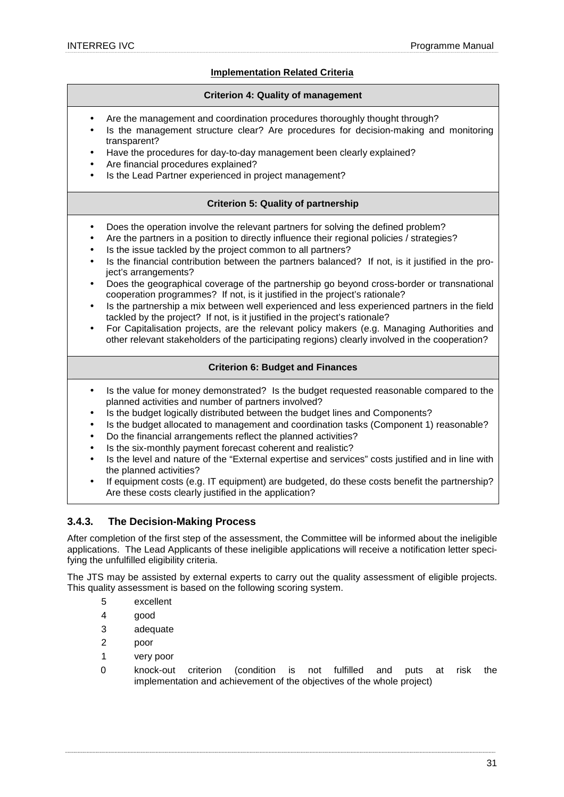## **Implementation Related Criteria**

## **Criterion 4: Quality of management**

- Are the management and coordination procedures thoroughly thought through?
- Is the management structure clear? Are procedures for decision-making and monitoring transparent?
- Have the procedures for day-to-day management been clearly explained?
- Are financial procedures explained?
- Is the Lead Partner experienced in project management?

## **Criterion 5: Quality of partnership**

- Does the operation involve the relevant partners for solving the defined problem?
- Are the partners in a position to directly influence their regional policies / strategies?
- Is the issue tackled by the project common to all partners?
- Is the financial contribution between the partners balanced? If not, is it justified in the project's arrangements?
- Does the geographical coverage of the partnership go beyond cross-border or transnational cooperation programmes? If not, is it justified in the project's rationale?
- Is the partnership a mix between well experienced and less experienced partners in the field tackled by the project? If not, is it justified in the project's rationale?
- For Capitalisation projects, are the relevant policy makers (e.g. Managing Authorities and other relevant stakeholders of the participating regions) clearly involved in the cooperation?

## **Criterion 6: Budget and Finances**

- Is the value for money demonstrated? Is the budget requested reasonable compared to the planned activities and number of partners involved?
- Is the budget logically distributed between the budget lines and Components?
- Is the budget allocated to management and coordination tasks (Component 1) reasonable?
- Do the financial arrangements reflect the planned activities?
- Is the six-monthly payment forecast coherent and realistic?
- Is the level and nature of the "External expertise and services" costs justified and in line with the planned activities?
- If equipment costs (e.g. IT equipment) are budgeted, do these costs benefit the partnership? Are these costs clearly justified in the application?

## **3.4.3. The Decision-Making Process**

After completion of the first step of the assessment, the Committee will be informed about the ineligible applications. The Lead Applicants of these ineligible applications will receive a notification letter specifying the unfulfilled eligibility criteria.

The JTS may be assisted by external experts to carry out the quality assessment of eligible projects. This quality assessment is based on the following scoring system.

- 5 excellent
- 4 good
- 3 adequate
- 2 poor
- 1 very poor
- 0 knock-out criterion (condition is not fulfilled and puts at risk the implementation and achievement of the objectives of the whole project)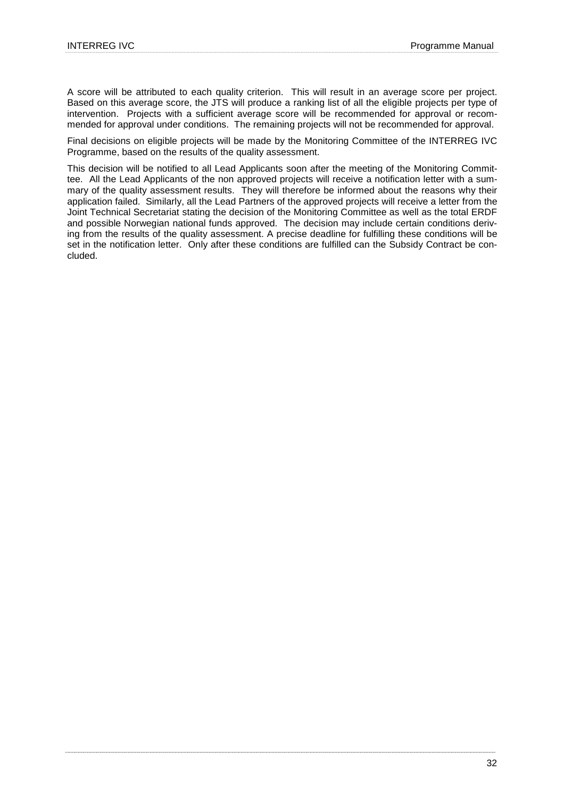A score will be attributed to each quality criterion. This will result in an average score per project. Based on this average score, the JTS will produce a ranking list of all the eligible projects per type of intervention. Projects with a sufficient average score will be recommended for approval or recommended for approval under conditions. The remaining projects will not be recommended for approval.

Final decisions on eligible projects will be made by the Monitoring Committee of the INTERREG IVC Programme, based on the results of the quality assessment.

This decision will be notified to all Lead Applicants soon after the meeting of the Monitoring Committee. All the Lead Applicants of the non approved projects will receive a notification letter with a summary of the quality assessment results. They will therefore be informed about the reasons why their application failed. Similarly, all the Lead Partners of the approved projects will receive a letter from the Joint Technical Secretariat stating the decision of the Monitoring Committee as well as the total ERDF and possible Norwegian national funds approved. The decision may include certain conditions deriving from the results of the quality assessment. A precise deadline for fulfilling these conditions will be set in the notification letter. Only after these conditions are fulfilled can the Subsidy Contract be concluded.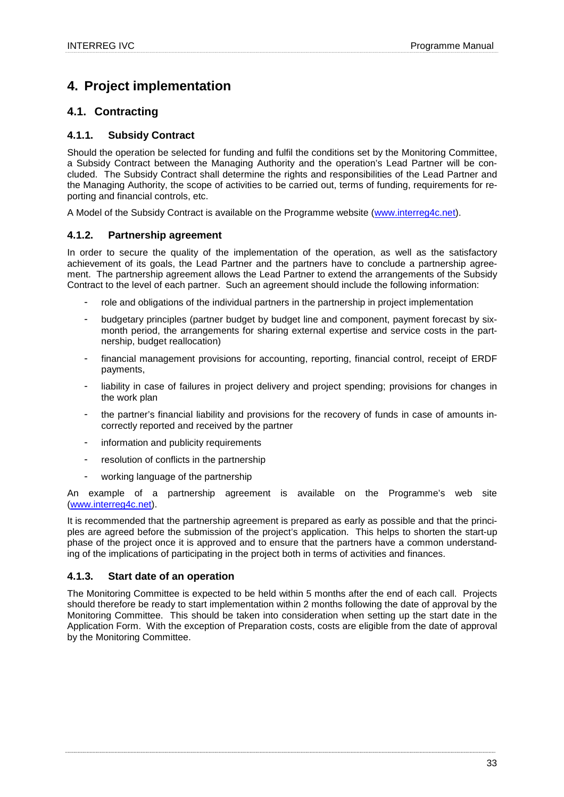## **4. Project implementation**

## **4.1. Contracting**

## **4.1.1. Subsidy Contract**

Should the operation be selected for funding and fulfil the conditions set by the Monitoring Committee, a Subsidy Contract between the Managing Authority and the operation's Lead Partner will be concluded. The Subsidy Contract shall determine the rights and responsibilities of the Lead Partner and the Managing Authority, the scope of activities to be carried out, terms of funding, requirements for reporting and financial controls, etc.

A Model of the Subsidy Contract is available on the Programme website (www.interreg4c.net).

## **4.1.2. Partnership agreement**

In order to secure the quality of the implementation of the operation, as well as the satisfactory achievement of its goals, the Lead Partner and the partners have to conclude a partnership agreement. The partnership agreement allows the Lead Partner to extend the arrangements of the Subsidy Contract to the level of each partner. Such an agreement should include the following information:

- role and obligations of the individual partners in the partnership in project implementation
- budgetary principles (partner budget by budget line and component, payment forecast by sixmonth period, the arrangements for sharing external expertise and service costs in the partnership, budget reallocation)
- financial management provisions for accounting, reporting, financial control, receipt of ERDF payments,
- liability in case of failures in project delivery and project spending; provisions for changes in the work plan
- the partner's financial liability and provisions for the recovery of funds in case of amounts incorrectly reported and received by the partner
- information and publicity requirements
- resolution of conflicts in the partnership
- working language of the partnership

An example of a partnership agreement is available on the Programme's web site (www.interreg4c.net).

It is recommended that the partnership agreement is prepared as early as possible and that the principles are agreed before the submission of the project's application. This helps to shorten the start-up phase of the project once it is approved and to ensure that the partners have a common understanding of the implications of participating in the project both in terms of activities and finances.

## **4.1.3. Start date of an operation**

The Monitoring Committee is expected to be held within 5 months after the end of each call. Projects should therefore be ready to start implementation within 2 months following the date of approval by the Monitoring Committee. This should be taken into consideration when setting up the start date in the Application Form. With the exception of Preparation costs, costs are eligible from the date of approval by the Monitoring Committee.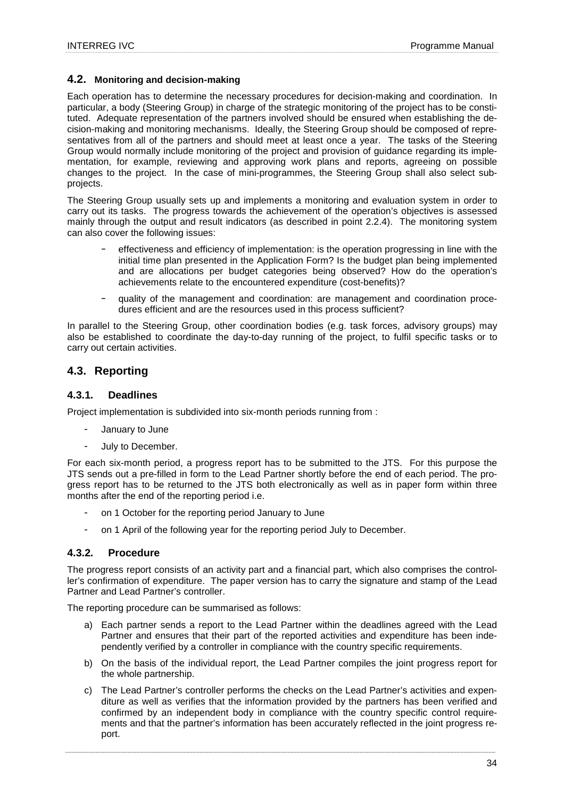## **4.2. Monitoring and decision-making**

Each operation has to determine the necessary procedures for decision-making and coordination. In particular, a body (Steering Group) in charge of the strategic monitoring of the project has to be constituted. Adequate representation of the partners involved should be ensured when establishing the decision-making and monitoring mechanisms. Ideally, the Steering Group should be composed of representatives from all of the partners and should meet at least once a year. The tasks of the Steering Group would normally include monitoring of the project and provision of guidance regarding its implementation, for example, reviewing and approving work plans and reports, agreeing on possible changes to the project. In the case of mini-programmes, the Steering Group shall also select subprojects.

The Steering Group usually sets up and implements a monitoring and evaluation system in order to carry out its tasks. The progress towards the achievement of the operation's objectives is assessed mainly through the output and result indicators (as described in point 2.2.4). The monitoring system can also cover the following issues:

- effectiveness and efficiency of implementation: is the operation progressing in line with the initial time plan presented in the Application Form? Is the budget plan being implemented and are allocations per budget categories being observed? How do the operation's achievements relate to the encountered expenditure (cost-benefits)?
- − quality of the management and coordination: are management and coordination procedures efficient and are the resources used in this process sufficient?

In parallel to the Steering Group, other coordination bodies (e.g. task forces, advisory groups) may also be established to coordinate the day-to-day running of the project, to fulfil specific tasks or to carry out certain activities.

## **4.3. Reporting**

## **4.3.1. Deadlines**

Project implementation is subdivided into six-month periods running from :

- January to June
- July to December.

For each six-month period, a progress report has to be submitted to the JTS. For this purpose the JTS sends out a pre-filled in form to the Lead Partner shortly before the end of each period. The progress report has to be returned to the JTS both electronically as well as in paper form within three months after the end of the reporting period i.e.

- on 1 October for the reporting period January to June
- on 1 April of the following year for the reporting period July to December.

## **4.3.2. Procedure**

The progress report consists of an activity part and a financial part, which also comprises the controller's confirmation of expenditure. The paper version has to carry the signature and stamp of the Lead Partner and Lead Partner's controller.

The reporting procedure can be summarised as follows:

- a) Each partner sends a report to the Lead Partner within the deadlines agreed with the Lead Partner and ensures that their part of the reported activities and expenditure has been independently verified by a controller in compliance with the country specific requirements.
- b) On the basis of the individual report, the Lead Partner compiles the joint progress report for the whole partnership.
- c) The Lead Partner's controller performs the checks on the Lead Partner's activities and expenditure as well as verifies that the information provided by the partners has been verified and confirmed by an independent body in compliance with the country specific control requirements and that the partner's information has been accurately reflected in the joint progress report.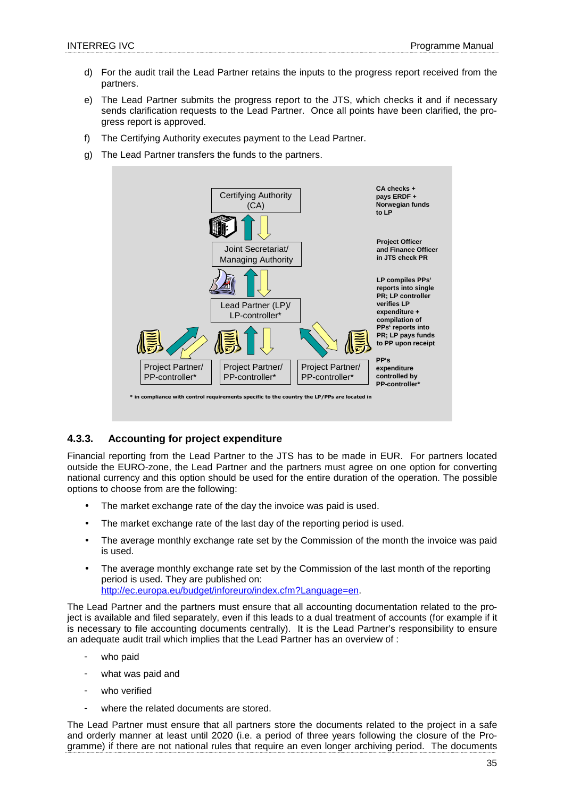- d) For the audit trail the Lead Partner retains the inputs to the progress report received from the partners.
- e) The Lead Partner submits the progress report to the JTS, which checks it and if necessary sends clarification requests to the Lead Partner. Once all points have been clarified, the progress report is approved.
- f) The Certifying Authority executes payment to the Lead Partner.
- g) The Lead Partner transfers the funds to the partners.



## **4.3.3. Accounting for project expenditure**

Financial reporting from the Lead Partner to the JTS has to be made in EUR. For partners located outside the EURO-zone, the Lead Partner and the partners must agree on one option for converting national currency and this option should be used for the entire duration of the operation. The possible options to choose from are the following:

- The market exchange rate of the day the invoice was paid is used.
- The market exchange rate of the last day of the reporting period is used.
- The average monthly exchange rate set by the Commission of the month the invoice was paid is used.
- The average monthly exchange rate set by the Commission of the last month of the reporting period is used. They are published on: http://ec.europa.eu/budget/inforeuro/index.cfm?Language=en.

The Lead Partner and the partners must ensure that all accounting documentation related to the project is available and filed separately, even if this leads to a dual treatment of accounts (for example if it is necessary to file accounting documents centrally). It is the Lead Partner's responsibility to ensure an adequate audit trail which implies that the Lead Partner has an overview of :

- who paid
- what was paid and
- who verified
- where the related documents are stored.

The Lead Partner must ensure that all partners store the documents related to the project in a safe and orderly manner at least until 2020 (i.e. a period of three years following the closure of the Programme) if there are not national rules that require an even longer archiving period. The documents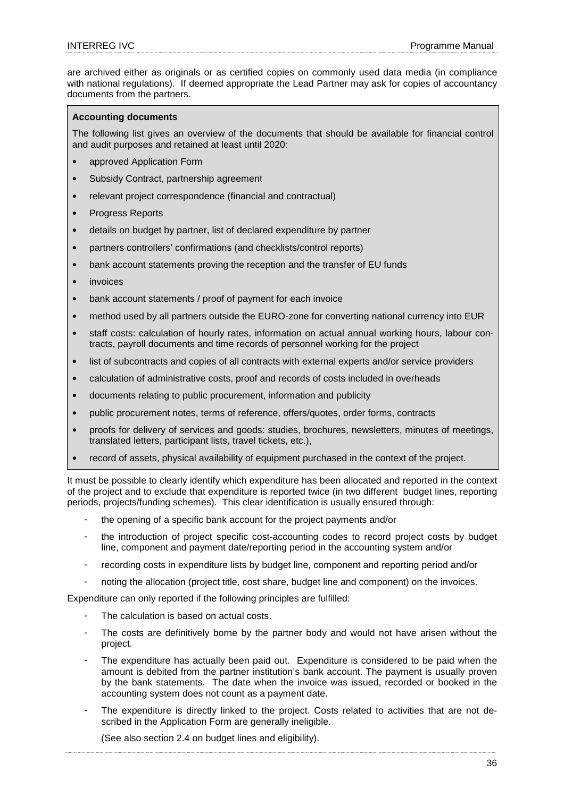are archived either as originals or as certified copies on commonly used data media (in compliance with national regulations). If deemed appropriate the Lead Partner may ask for copies of accountancy documents from the partners.

#### **Accounting documents**

The following list gives an overview of the documents that should be available for financial control and audit purposes and retained at least until 2020:

- approved Application Form
- Subsidy Contract, partnership agreement
- relevant project correspondence (financial and contractual)
- Progress Reports
- details on budget by partner, list of declared expenditure by partner
- partners controllers' confirmations (and checklists/control reports)
- bank account statements proving the reception and the transfer of EU funds
- *invoices*
- bank account statements / proof of payment for each invoice
- method used by all partners outside the EURO-zone for converting national currency into EUR
- staff costs: calculation of hourly rates, information on actual annual working hours, labour contracts, payroll documents and time records of personnel working for the project
- list of subcontracts and copies of all contracts with external experts and/or service providers
- calculation of administrative costs, proof and records of costs included in overheads
- documents relating to public procurement, information and publicity
- public procurement notes, terms of reference, offers/quotes, order forms, contracts
- proofs for delivery of services and goods: studies, brochures, newsletters, minutes of meetings, translated letters, participant lists, travel tickets, etc.),
- record of assets, physical availability of equipment purchased in the context of the project.

It must be possible to clearly identify which expenditure has been allocated and reported in the context of the project and to exclude that expenditure is reported twice (in two different budget lines, reporting periods, projects/funding schemes). This clear identification is usually ensured through:

- the opening of a specific bank account for the project payments and/or
- the introduction of project specific cost-accounting codes to record project costs by budget line, component and payment date/reporting period in the accounting system and/or
- recording costs in expenditure lists by budget line, component and reporting period and/or
- noting the allocation (project title, cost share, budget line and component) on the invoices.

Expenditure can only reported if the following principles are fulfilled:

- The calculation is based on actual costs.
- The costs are definitively borne by the partner body and would not have arisen without the project.
- The expenditure has actually been paid out. Expenditure is considered to be paid when the amount is debited from the partner institution's bank account. The payment is usually proven by the bank statements. The date when the invoice was issued, recorded or booked in the accounting system does not count as a payment date.
- The expenditure is directly linked to the project. Costs related to activities that are not described in the Application Form are generally ineligible.

(See also section 2.4 on budget lines and eligibility).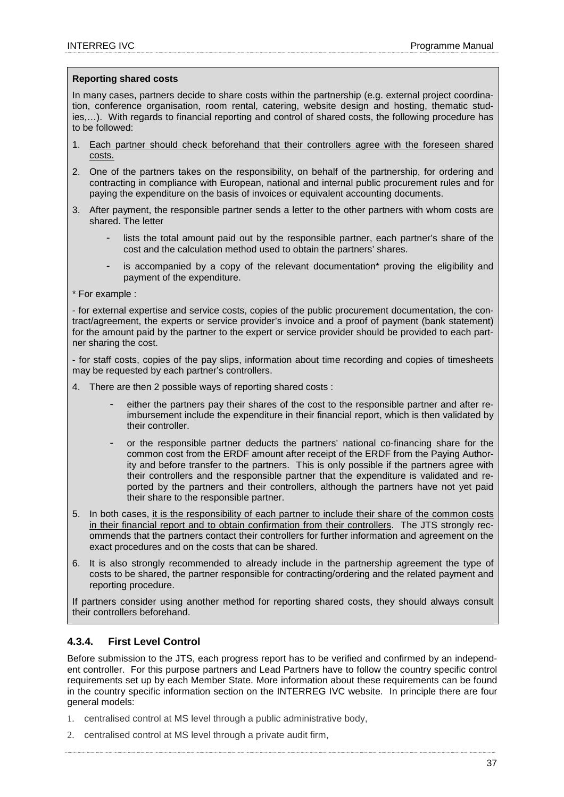#### **Reporting shared costs**

In many cases, partners decide to share costs within the partnership (e.g. external project coordination, conference organisation, room rental, catering, website design and hosting, thematic studies,…). With regards to financial reporting and control of shared costs, the following procedure has to be followed:

- 1. Each partner should check beforehand that their controllers agree with the foreseen shared costs.
- 2. One of the partners takes on the responsibility, on behalf of the partnership, for ordering and contracting in compliance with European, national and internal public procurement rules and for paying the expenditure on the basis of invoices or equivalent accounting documents.
- 3. After payment, the responsible partner sends a letter to the other partners with whom costs are shared. The letter
	- lists the total amount paid out by the responsible partner, each partner's share of the cost and the calculation method used to obtain the partners' shares.
	- is accompanied by a copy of the relevant documentation\* proving the eligibility and payment of the expenditure.
- \* For example :

- for external expertise and service costs, copies of the public procurement documentation, the contract/agreement, the experts or service provider's invoice and a proof of payment (bank statement) for the amount paid by the partner to the expert or service provider should be provided to each partner sharing the cost.

- for staff costs, copies of the pay slips, information about time recording and copies of timesheets may be requested by each partner's controllers.

- 4. There are then 2 possible ways of reporting shared costs :
	- either the partners pay their shares of the cost to the responsible partner and after reimbursement include the expenditure in their financial report, which is then validated by their controller.
	- or the responsible partner deducts the partners' national co-financing share for the common cost from the ERDF amount after receipt of the ERDF from the Paying Authority and before transfer to the partners. This is only possible if the partners agree with their controllers and the responsible partner that the expenditure is validated and reported by the partners and their controllers, although the partners have not yet paid their share to the responsible partner.
- 5. In both cases, it is the responsibility of each partner to include their share of the common costs in their financial report and to obtain confirmation from their controllers. The JTS strongly recommends that the partners contact their controllers for further information and agreement on the exact procedures and on the costs that can be shared.
- 6. It is also strongly recommended to already include in the partnership agreement the type of costs to be shared, the partner responsible for contracting/ordering and the related payment and reporting procedure.

If partners consider using another method for reporting shared costs, they should always consult their controllers beforehand.

## **4.3.4. First Level Control**

Before submission to the JTS, each progress report has to be verified and confirmed by an independent controller. For this purpose partners and Lead Partners have to follow the country specific control requirements set up by each Member State. More information about these requirements can be found in the country specific information section on the INTERREG IVC website. In principle there are four general models:

- 1. centralised control at MS level through a public administrative body,
- 2. centralised control at MS level through a private audit firm,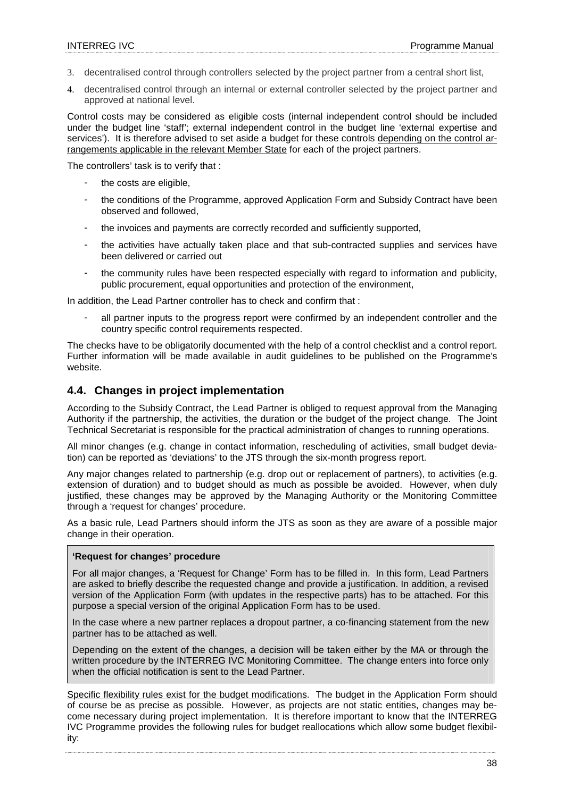- 3. decentralised control through controllers selected by the project partner from a central short list,
- 4. decentralised control through an internal or external controller selected by the project partner and approved at national level.

Control costs may be considered as eligible costs (internal independent control should be included under the budget line 'staff'; external independent control in the budget line 'external expertise and services'). It is therefore advised to set aside a budget for these controls depending on the control arrangements applicable in the relevant Member State for each of the project partners.

The controllers' task is to verify that :

- the costs are eligible,
- the conditions of the Programme, approved Application Form and Subsidy Contract have been observed and followed,
- the invoices and payments are correctly recorded and sufficiently supported,
- the activities have actually taken place and that sub-contracted supplies and services have been delivered or carried out
- the community rules have been respected especially with regard to information and publicity, public procurement, equal opportunities and protection of the environment,

In addition, the Lead Partner controller has to check and confirm that :

all partner inputs to the progress report were confirmed by an independent controller and the country specific control requirements respected.

The checks have to be obligatorily documented with the help of a control checklist and a control report. Further information will be made available in audit guidelines to be published on the Programme's website.

## **4.4. Changes in project implementation**

According to the Subsidy Contract, the Lead Partner is obliged to request approval from the Managing Authority if the partnership, the activities, the duration or the budget of the project change. The Joint Technical Secretariat is responsible for the practical administration of changes to running operations.

All minor changes (e.g. change in contact information, rescheduling of activities, small budget deviation) can be reported as 'deviations' to the JTS through the six-month progress report.

Any major changes related to partnership (e.g. drop out or replacement of partners), to activities (e.g. extension of duration) and to budget should as much as possible be avoided. However, when duly justified, these changes may be approved by the Managing Authority or the Monitoring Committee through a 'request for changes' procedure.

As a basic rule, Lead Partners should inform the JTS as soon as they are aware of a possible major change in their operation.

#### **'Request for changes' procedure**

For all major changes, a 'Request for Change' Form has to be filled in. In this form, Lead Partners are asked to briefly describe the requested change and provide a justification. In addition, a revised version of the Application Form (with updates in the respective parts) has to be attached. For this purpose a special version of the original Application Form has to be used.

In the case where a new partner replaces a dropout partner, a co-financing statement from the new partner has to be attached as well.

Depending on the extent of the changes, a decision will be taken either by the MA or through the written procedure by the INTERREG IVC Monitoring Committee. The change enters into force only when the official notification is sent to the Lead Partner.

Specific flexibility rules exist for the budget modifications. The budget in the Application Form should of course be as precise as possible. However, as projects are not static entities, changes may become necessary during project implementation. It is therefore important to know that the INTERREG IVC Programme provides the following rules for budget reallocations which allow some budget flexibility: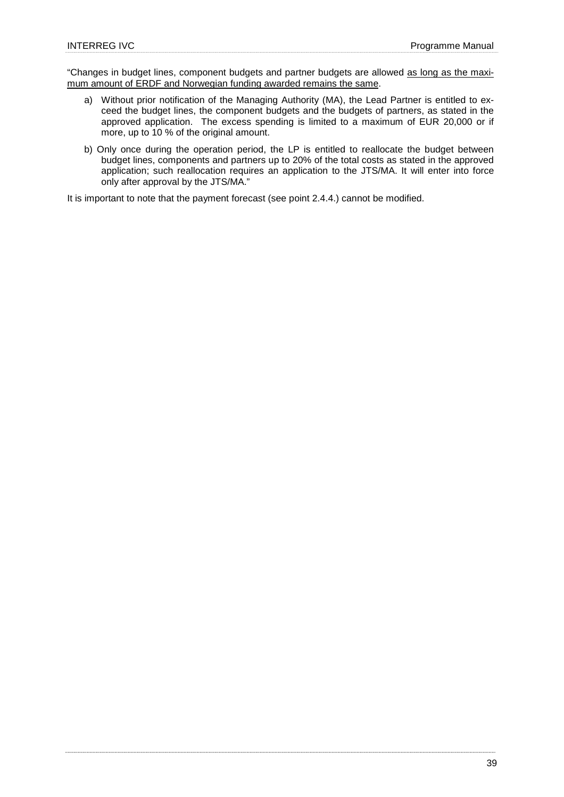"Changes in budget lines, component budgets and partner budgets are allowed as long as the maximum amount of ERDF and Norwegian funding awarded remains the same.

- a) Without prior notification of the Managing Authority (MA), the Lead Partner is entitled to exceed the budget lines, the component budgets and the budgets of partners, as stated in the approved application. The excess spending is limited to a maximum of EUR 20,000 or if more, up to 10 % of the original amount.
- b) Only once during the operation period, the LP is entitled to reallocate the budget between budget lines, components and partners up to 20% of the total costs as stated in the approved application; such reallocation requires an application to the JTS/MA. It will enter into force only after approval by the JTS/MA."

It is important to note that the payment forecast (see point 2.4.4.) cannot be modified.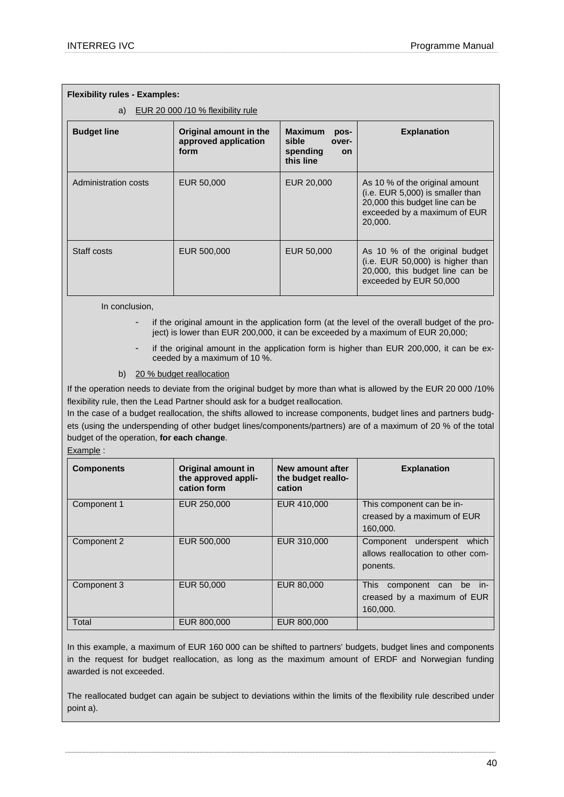| <b>Flexibility rules - Examples:</b>    |                                                        |                                                                                |                                                                                                                                                 |  |  |
|-----------------------------------------|--------------------------------------------------------|--------------------------------------------------------------------------------|-------------------------------------------------------------------------------------------------------------------------------------------------|--|--|
| EUR 20 000 /10 % flexibility rule<br>a) |                                                        |                                                                                |                                                                                                                                                 |  |  |
| <b>Budget line</b>                      | Original amount in the<br>approved application<br>form | <b>Maximum</b><br>pos-<br>sible<br>over-<br>spending<br><b>on</b><br>this line | <b>Explanation</b>                                                                                                                              |  |  |
| Administration costs                    | EUR 50,000                                             | EUR 20,000                                                                     | As 10 % of the original amount<br>(i.e. EUR 5,000) is smaller than<br>20,000 this budget line can be<br>exceeded by a maximum of EUR<br>20,000. |  |  |
| Staff costs                             | EUR 500,000                                            | EUR 50,000                                                                     | As 10 % of the original budget<br>(i.e. EUR 50,000) is higher than<br>20,000, this budget line can be<br>exceeded by EUR 50,000                 |  |  |

In conclusion,

- if the original amount in the application form (at the level of the overall budget of the project) is lower than EUR 200,000, it can be exceeded by a maximum of EUR 20,000;
- if the original amount in the application form is higher than EUR 200,000, it can be exceeded by a maximum of 10 %.
- b) 20 % budget reallocation

If the operation needs to deviate from the original budget by more than what is allowed by the EUR 20 000 /10% flexibility rule, then the Lead Partner should ask for a budget reallocation.

In the case of a budget reallocation, the shifts allowed to increase components, budget lines and partners budgets (using the underspending of other budget lines/components/partners) are of a maximum of 20 % of the total budget of the operation, **for each change**.

Example :

| <b>Components</b> | Original amount in<br>the approved appli-<br>cation form | New amount after<br>the budget reallo-<br>cation | <b>Explanation</b>                                                                |
|-------------------|----------------------------------------------------------|--------------------------------------------------|-----------------------------------------------------------------------------------|
| Component 1       | EUR 250,000                                              | EUR 410,000                                      | This component can be in-<br>creased by a maximum of EUR<br>160,000.              |
| Component 2       | EUR 500,000                                              | EUR 310,000                                      | underspent<br>which<br>Component<br>allows reallocation to other com-<br>ponents. |
| Component 3       | EUR 50,000                                               | EUR 80,000                                       | <b>This</b><br>component can<br>be in-<br>creased by a maximum of EUR<br>160,000. |
| Total             | EUR 800,000                                              | EUR 800,000                                      |                                                                                   |

In this example, a maximum of EUR 160 000 can be shifted to partners' budgets, budget lines and components in the request for budget reallocation, as long as the maximum amount of ERDF and Norwegian funding awarded is not exceeded.

The reallocated budget can again be subject to deviations within the limits of the flexibility rule described under point a).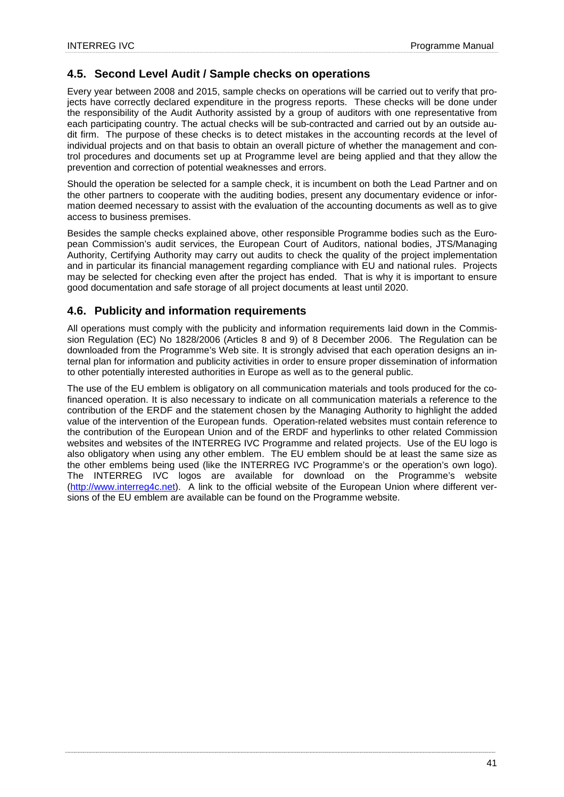## **4.5. Second Level Audit / Sample checks on operations**

Every year between 2008 and 2015, sample checks on operations will be carried out to verify that projects have correctly declared expenditure in the progress reports. These checks will be done under the responsibility of the Audit Authority assisted by a group of auditors with one representative from each participating country. The actual checks will be sub-contracted and carried out by an outside audit firm. The purpose of these checks is to detect mistakes in the accounting records at the level of individual projects and on that basis to obtain an overall picture of whether the management and control procedures and documents set up at Programme level are being applied and that they allow the prevention and correction of potential weaknesses and errors.

Should the operation be selected for a sample check, it is incumbent on both the Lead Partner and on the other partners to cooperate with the auditing bodies, present any documentary evidence or information deemed necessary to assist with the evaluation of the accounting documents as well as to give access to business premises.

Besides the sample checks explained above, other responsible Programme bodies such as the European Commission's audit services, the European Court of Auditors, national bodies, JTS/Managing Authority, Certifying Authority may carry out audits to check the quality of the project implementation and in particular its financial management regarding compliance with EU and national rules. Projects may be selected for checking even after the project has ended. That is why it is important to ensure good documentation and safe storage of all project documents at least until 2020.

## **4.6. Publicity and information requirements**

All operations must comply with the publicity and information requirements laid down in the Commission Regulation (EC) No 1828/2006 (Articles 8 and 9) of 8 December 2006. The Regulation can be downloaded from the Programme's Web site. It is strongly advised that each operation designs an internal plan for information and publicity activities in order to ensure proper dissemination of information to other potentially interested authorities in Europe as well as to the general public.

The use of the EU emblem is obligatory on all communication materials and tools produced for the cofinanced operation. It is also necessary to indicate on all communication materials a reference to the contribution of the ERDF and the statement chosen by the Managing Authority to highlight the added value of the intervention of the European funds. Operation-related websites must contain reference to the contribution of the European Union and of the ERDF and hyperlinks to other related Commission websites and websites of the INTERREG IVC Programme and related projects. Use of the EU logo is also obligatory when using any other emblem. The EU emblem should be at least the same size as the other emblems being used (like the INTERREG IVC Programme's or the operation's own logo). The INTERREG IVC logos are available for download on the Programme's website (http://www.interreg4c.net). A link to the official website of the European Union where different versions of the EU emblem are available can be found on the Programme website.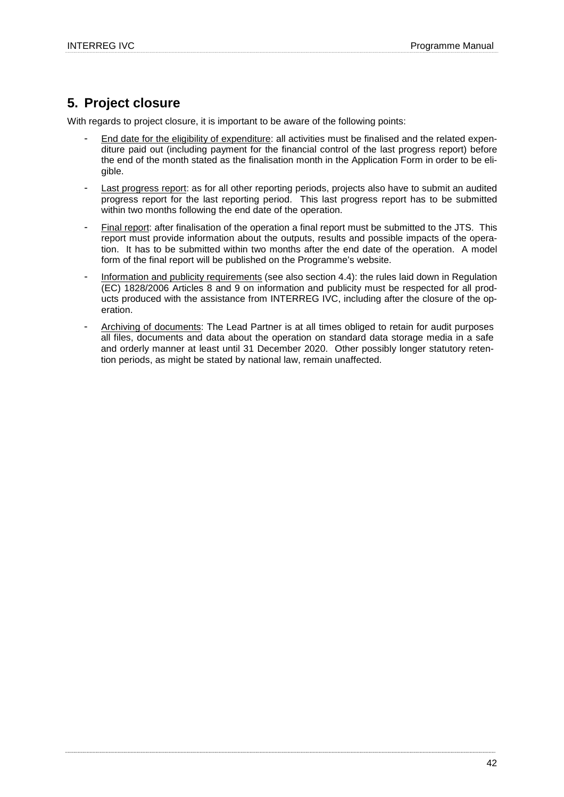## **5. Project closure**

With regards to project closure, it is important to be aware of the following points:

- End date for the eligibility of expenditure: all activities must be finalised and the related expenditure paid out (including payment for the financial control of the last progress report) before the end of the month stated as the finalisation month in the Application Form in order to be eligible.
- Last progress report: as for all other reporting periods, projects also have to submit an audited progress report for the last reporting period. This last progress report has to be submitted within two months following the end date of the operation.
- Final report: after finalisation of the operation a final report must be submitted to the JTS. This report must provide information about the outputs, results and possible impacts of the operation. It has to be submitted within two months after the end date of the operation. A model form of the final report will be published on the Programme's website.
- Information and publicity requirements (see also section 4.4): the rules laid down in Regulation (EC) 1828/2006 Articles 8 and 9 on information and publicity must be respected for all products produced with the assistance from INTERREG IVC, including after the closure of the operation.
- Archiving of documents: The Lead Partner is at all times obliged to retain for audit purposes all files, documents and data about the operation on standard data storage media in a safe and orderly manner at least until 31 December 2020. Other possibly longer statutory retention periods, as might be stated by national law, remain unaffected.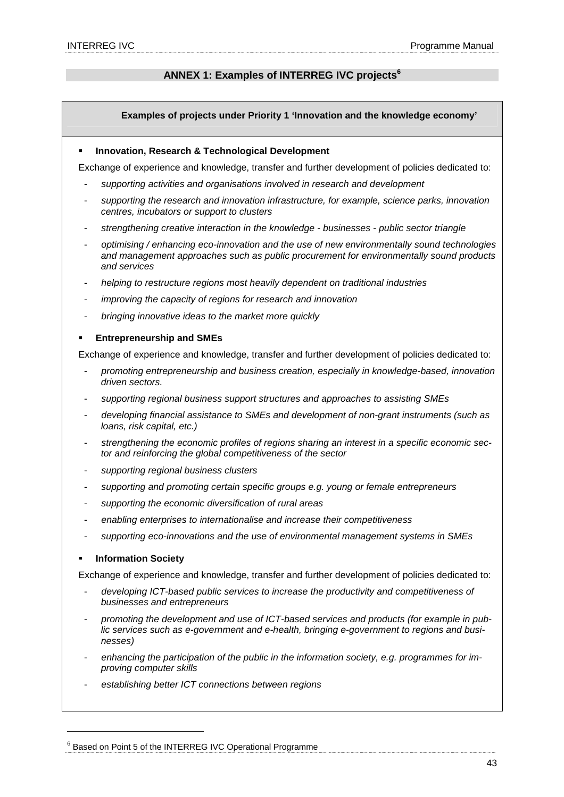## **ANNEX 1: Examples of INTERREG IVC projects<sup>6</sup>**

## **Examples of projects under Priority 1 'Innovation and the knowledge economy'**

#### **Innovation, Research & Technological Development**

Exchange of experience and knowledge, transfer and further development of policies dedicated to:

- supporting activities and organisations involved in research and development
- supporting the research and innovation infrastructure, for example, science parks, innovation centres, incubators or support to clusters
- strengthening creative interaction in the knowledge businesses public sector triangle
- optimising / enhancing eco-innovation and the use of new environmentally sound technologies and management approaches such as public procurement for environmentally sound products and services
- helping to restructure regions most heavily dependent on traditional industries
- improving the capacity of regions for research and innovation
- bringing innovative ideas to the market more quickly

## **Entrepreneurship and SMEs**

Exchange of experience and knowledge, transfer and further development of policies dedicated to:

- promoting entrepreneurship and business creation, especially in knowledge-based, innovation driven sectors.
- supporting regional business support structures and approaches to assisting SMEs
- developing financial assistance to SMEs and development of non-grant instruments (such as loans, risk capital, etc.)
- strengthening the economic profiles of regions sharing an interest in a specific economic sector and reinforcing the global competitiveness of the sector
- supporting regional business clusters
- supporting and promoting certain specific groups e.g. young or female entrepreneurs
- supporting the economic diversification of rural areas
- enabling enterprises to internationalise and increase their competitiveness
- supporting eco-innovations and the use of environmental management systems in SMEs

## **Information Society**

 $\overline{a}$ 

Exchange of experience and knowledge, transfer and further development of policies dedicated to:

- developing ICT-based public services to increase the productivity and competitiveness of businesses and entrepreneurs
- promoting the development and use of ICT-based services and products (for example in public services such as e-government and e-health, bringing e-government to regions and businesses)
- enhancing the participation of the public in the information society, e.g. programmes for improving computer skills
- establishing better ICT connections between regions

 $^6$  Based on Point 5 of the INTERREG IVC Operational Programme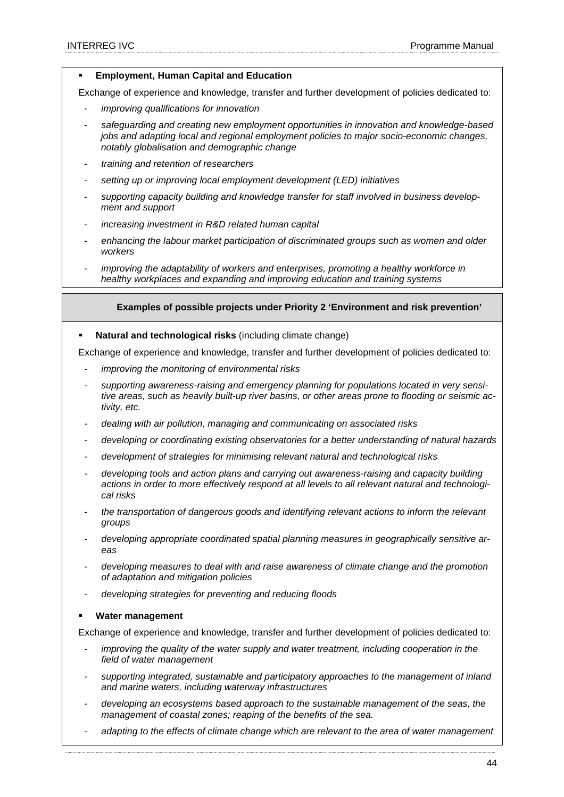## **Employment, Human Capital and Education**

Exchange of experience and knowledge, transfer and further development of policies dedicated to:

- improving qualifications for innovation
- safeguarding and creating new employment opportunities in innovation and knowledge-based jobs and adapting local and regional employment policies to major socio-economic changes, notably globalisation and demographic change
- training and retention of researchers
- setting up or improving local employment development (LED) initiatives
- supporting capacity building and knowledge transfer for staff involved in business development and support
- increasing investment in R&D related human capital
- enhancing the labour market participation of discriminated groups such as women and older workers
- improving the adaptability of workers and enterprises, promoting a healthy workforce in healthy workplaces and expanding and improving education and training systems

## **Examples of possible projects under Priority 2 'Environment and risk prevention'**

**Natural and technological risks** (including climate change)

Exchange of experience and knowledge, transfer and further development of policies dedicated to:

- improving the monitoring of environmental risks
- supporting awareness-raising and emergency planning for populations located in very sensitive areas, such as heavily built-up river basins, or other areas prone to flooding or seismic activity, etc.
- dealing with air pollution, managing and communicating on associated risks
- developing or coordinating existing observatories for a better understanding of natural hazards
- development of strategies for minimising relevant natural and technological risks
- developing tools and action plans and carrying out awareness-raising and capacity building actions in order to more effectively respond at all levels to all relevant natural and technological risks
- the transportation of dangerous goods and identifying relevant actions to inform the relevant groups
- developing appropriate coordinated spatial planning measures in geographically sensitive areas
- developing measures to deal with and raise awareness of climate change and the promotion of adaptation and mitigation policies
- developing strategies for preventing and reducing floods

#### **Water management**

Exchange of experience and knowledge, transfer and further development of policies dedicated to:

- improving the quality of the water supply and water treatment, including cooperation in the field of water management
- supporting integrated, sustainable and participatory approaches to the management of inland and marine waters, including waterway infrastructures
- developing an ecosystems based approach to the sustainable management of the seas, the management of coastal zones; reaping of the benefits of the sea.
- adapting to the effects of climate change which are relevant to the area of water management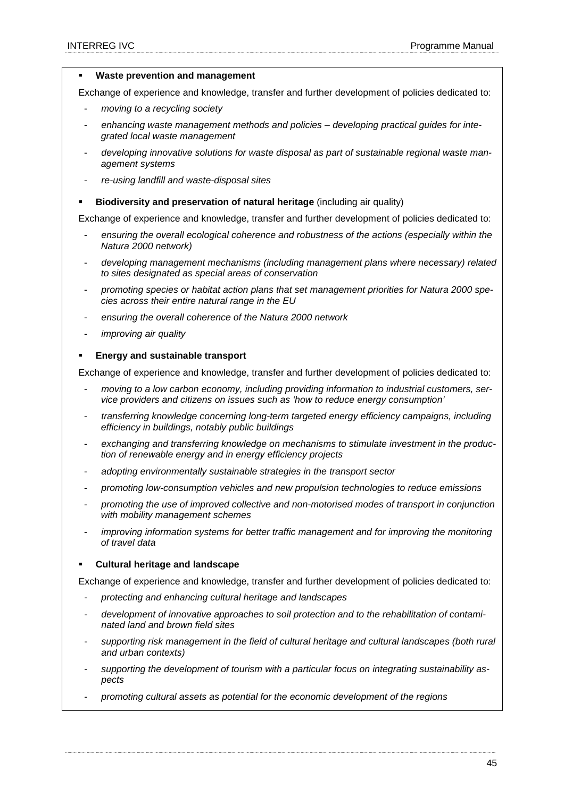#### **Waste prevention and management**

Exchange of experience and knowledge, transfer and further development of policies dedicated to:

- moving to a recycling society
- enhancing waste management methods and policies developing practical quides for integrated local waste management
- developing innovative solutions for waste disposal as part of sustainable regional waste management systems
- re-using landfill and waste-disposal sites
- **Biodiversity and preservation of natural heritage** (including air quality)

Exchange of experience and knowledge, transfer and further development of policies dedicated to:

- ensuring the overall ecological coherence and robustness of the actions (especially within the Natura 2000 network)
- developing management mechanisms (including management plans where necessary) related to sites designated as special areas of conservation
- promoting species or habitat action plans that set management priorities for Natura 2000 species across their entire natural range in the EU
- ensuring the overall coherence of the Natura 2000 network
- improving air quality

#### **Energy and sustainable transport**

Exchange of experience and knowledge, transfer and further development of policies dedicated to:

- moving to a low carbon economy, including providing information to industrial customers, service providers and citizens on issues such as 'how to reduce energy consumption'
- transferring knowledge concerning long-term targeted energy efficiency campaigns, including efficiency in buildings, notably public buildings
- exchanging and transferring knowledge on mechanisms to stimulate investment in the production of renewable energy and in energy efficiency projects
- adopting environmentally sustainable strategies in the transport sector
- promoting low-consumption vehicles and new propulsion technologies to reduce emissions
- promoting the use of improved collective and non-motorised modes of transport in conjunction with mobility management schemes
- improving information systems for better traffic management and for improving the monitoring of travel data

#### **Cultural heritage and landscape**

Exchange of experience and knowledge, transfer and further development of policies dedicated to:

- protecting and enhancing cultural heritage and landscapes
- development of innovative approaches to soil protection and to the rehabilitation of contaminated land and brown field sites
- supporting risk management in the field of cultural heritage and cultural landscapes (both rural and urban contexts)
- supporting the development of tourism with a particular focus on integrating sustainability aspects
- promoting cultural assets as potential for the economic development of the regions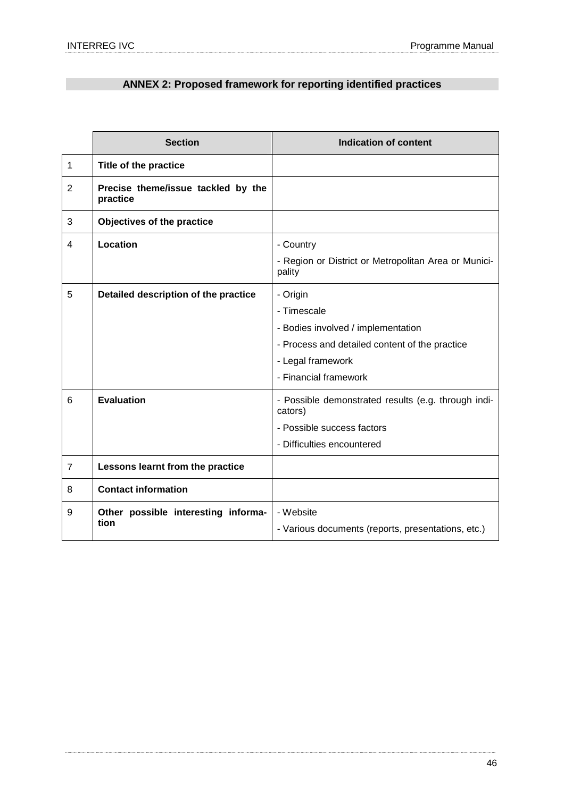## **ANNEX 2: Proposed framework for reporting identified practices**

|                | <b>Section</b>                                 | <b>Indication of content</b>                                                                                                                                  |
|----------------|------------------------------------------------|---------------------------------------------------------------------------------------------------------------------------------------------------------------|
| 1              | Title of the practice                          |                                                                                                                                                               |
| $\overline{2}$ | Precise theme/issue tackled by the<br>practice |                                                                                                                                                               |
| 3              | Objectives of the practice                     |                                                                                                                                                               |
| 4              | Location                                       | - Country<br>- Region or District or Metropolitan Area or Munici-<br>pality                                                                                   |
| 5              | Detailed description of the practice           | - Origin<br>- Timescale<br>- Bodies involved / implementation<br>- Process and detailed content of the practice<br>- Legal framework<br>- Financial framework |
| 6              | <b>Evaluation</b>                              | - Possible demonstrated results (e.g. through indi-<br>cators)<br>- Possible success factors<br>- Difficulties encountered                                    |
| $\overline{7}$ | Lessons learnt from the practice               |                                                                                                                                                               |
| 8              | <b>Contact information</b>                     |                                                                                                                                                               |
| 9              | Other possible interesting informa-<br>tion    | - Website<br>- Various documents (reports, presentations, etc.)                                                                                               |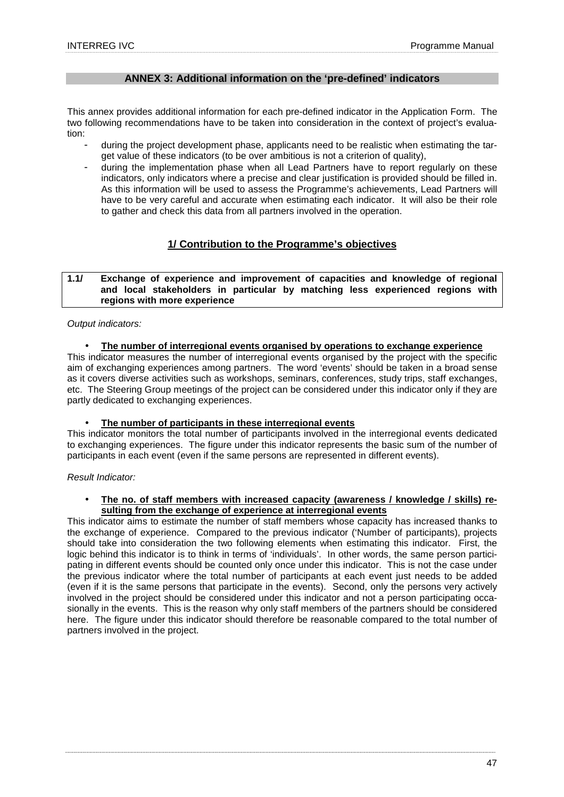## **ANNEX 3: Additional information on the 'pre-defined' indicators**

This annex provides additional information for each pre-defined indicator in the Application Form. The two following recommendations have to be taken into consideration in the context of project's evaluation:

- during the project development phase, applicants need to be realistic when estimating the target value of these indicators (to be over ambitious is not a criterion of quality),
- during the implementation phase when all Lead Partners have to report regularly on these indicators, only indicators where a precise and clear justification is provided should be filled in. As this information will be used to assess the Programme's achievements, Lead Partners will have to be very careful and accurate when estimating each indicator. It will also be their role to gather and check this data from all partners involved in the operation.

## **1/ Contribution to the Programme's objectives**

#### **1.1/ Exchange of experience and improvement of capacities and knowledge of regional and local stakeholders in particular by matching less experienced regions with regions with more experience**

## Output indicators:

## • **The number of interregional events organised by operations to exchange experience**

This indicator measures the number of interregional events organised by the project with the specific aim of exchanging experiences among partners. The word 'events' should be taken in a broad sense as it covers diverse activities such as workshops, seminars, conferences, study trips, staff exchanges, etc. The Steering Group meetings of the project can be considered under this indicator only if they are partly dedicated to exchanging experiences.

#### • **The number of participants in these interregional events**

This indicator monitors the total number of participants involved in the interregional events dedicated to exchanging experiences. The figure under this indicator represents the basic sum of the number of participants in each event (even if the same persons are represented in different events).

#### Result Indicator:

#### • **The no. of staff members with increased capacity (awareness / knowledge / skills) resulting from the exchange of experience at interregional events**

This indicator aims to estimate the number of staff members whose capacity has increased thanks to the exchange of experience. Compared to the previous indicator ('Number of participants), projects should take into consideration the two following elements when estimating this indicator. First, the logic behind this indicator is to think in terms of 'individuals'. In other words, the same person participating in different events should be counted only once under this indicator. This is not the case under the previous indicator where the total number of participants at each event just needs to be added (even if it is the same persons that participate in the events). Second, only the persons very actively involved in the project should be considered under this indicator and not a person participating occasionally in the events. This is the reason why only staff members of the partners should be considered here. The figure under this indicator should therefore be reasonable compared to the total number of partners involved in the project.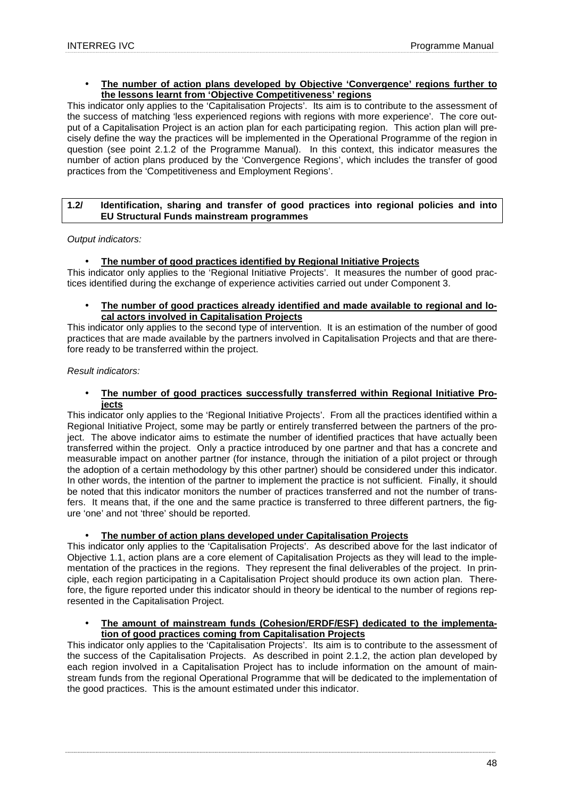#### • **The number of action plans developed by Objective 'Convergence' regions further to the lessons learnt from 'Objective Competitiveness' regions**

This indicator only applies to the 'Capitalisation Projects'. Its aim is to contribute to the assessment of the success of matching 'less experienced regions with regions with more experience'. The core output of a Capitalisation Project is an action plan for each participating region. This action plan will precisely define the way the practices will be implemented in the Operational Programme of the region in question (see point 2.1.2 of the Programme Manual). In this context, this indicator measures the number of action plans produced by the 'Convergence Regions', which includes the transfer of good practices from the 'Competitiveness and Employment Regions'.

## **1.2/ Identification, sharing and transfer of good practices into regional policies and into EU Structural Funds mainstream programmes**

Output indicators:

## • **The number of good practices identified by Regional Initiative Projects**

This indicator only applies to the 'Regional Initiative Projects'. It measures the number of good practices identified during the exchange of experience activities carried out under Component 3.

• **The number of good practices already identified and made available to regional and local actors involved in Capitalisation Projects**

This indicator only applies to the second type of intervention. It is an estimation of the number of good practices that are made available by the partners involved in Capitalisation Projects and that are therefore ready to be transferred within the project.

## Result indicators:

• **The number of good practices successfully transferred within Regional Initiative Projects**

This indicator only applies to the 'Regional Initiative Projects'. From all the practices identified within a Regional Initiative Project, some may be partly or entirely transferred between the partners of the project. The above indicator aims to estimate the number of identified practices that have actually been transferred within the project. Only a practice introduced by one partner and that has a concrete and measurable impact on another partner (for instance, through the initiation of a pilot project or through the adoption of a certain methodology by this other partner) should be considered under this indicator. In other words, the intention of the partner to implement the practice is not sufficient. Finally, it should be noted that this indicator monitors the number of practices transferred and not the number of transfers. It means that, if the one and the same practice is transferred to three different partners, the figure 'one' and not 'three' should be reported.

## • **The number of action plans developed under Capitalisation Projects**

This indicator only applies to the 'Capitalisation Projects'. As described above for the last indicator of Objective 1.1, action plans are a core element of Capitalisation Projects as they will lead to the implementation of the practices in the regions. They represent the final deliverables of the project. In principle, each region participating in a Capitalisation Project should produce its own action plan. Therefore, the figure reported under this indicator should in theory be identical to the number of regions represented in the Capitalisation Project.

#### • **The amount of mainstream funds (Cohesion/ERDF/ESF) dedicated to the implementation of good practices coming from Capitalisation Projects**

This indicator only applies to the 'Capitalisation Projects'. Its aim is to contribute to the assessment of the success of the Capitalisation Projects. As described in point 2.1.2, the action plan developed by each region involved in a Capitalisation Project has to include information on the amount of mainstream funds from the regional Operational Programme that will be dedicated to the implementation of the good practices. This is the amount estimated under this indicator.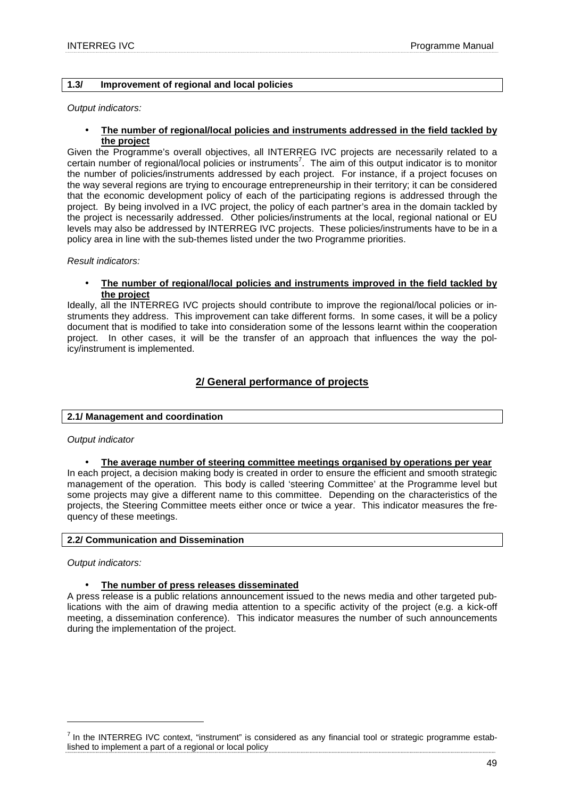## **1.3/ Improvement of regional and local policies**

Output indicators:

• **The number of regional/local policies and instruments addressed in the field tackled by the project**

Given the Programme's overall objectives, all INTERREG IVC projects are necessarily related to a certain number of regional/local policies or instruments<sup>7</sup>. The aim of this output indicator is to monitor the number of policies/instruments addressed by each project. For instance, if a project focuses on the way several regions are trying to encourage entrepreneurship in their territory; it can be considered that the economic development policy of each of the participating regions is addressed through the project. By being involved in a IVC project, the policy of each partner's area in the domain tackled by the project is necessarily addressed. Other policies/instruments at the local, regional national or EU levels may also be addressed by INTERREG IVC projects. These policies/instruments have to be in a policy area in line with the sub-themes listed under the two Programme priorities.

Result indicators:

#### • **The number of regional/local policies and instruments improved in the field tackled by the project**

Ideally, all the INTERREG IVC projects should contribute to improve the regional/local policies or instruments they address. This improvement can take different forms. In some cases, it will be a policy document that is modified to take into consideration some of the lessons learnt within the cooperation project. In other cases, it will be the transfer of an approach that influences the way the policy/instrument is implemented.

## **2/ General performance of projects**

#### **2.1/ Management and coordination**

#### Output indicator

#### • **The average number of steering committee meetings organised by operations per year**

In each project, a decision making body is created in order to ensure the efficient and smooth strategic management of the operation. This body is called 'steering Committee' at the Programme level but some projects may give a different name to this committee. Depending on the characteristics of the projects, the Steering Committee meets either once or twice a year. This indicator measures the frequency of these meetings.

#### **2.2/ Communication and Dissemination**

Output indicators:

 $\overline{a}$ 

## • **The number of press releases disseminated**

A press release is a public relations announcement issued to the news media and other targeted publications with the aim of drawing media attention to a specific activity of the project (e.g. a kick-off meeting, a dissemination conference). This indicator measures the number of such announcements during the implementation of the project.

 $<sup>7</sup>$  In the INTERREG IVC context, "instrument" is considered as any financial tool or strategic programme estab-</sup> lished to implement a part of a regional or local policy